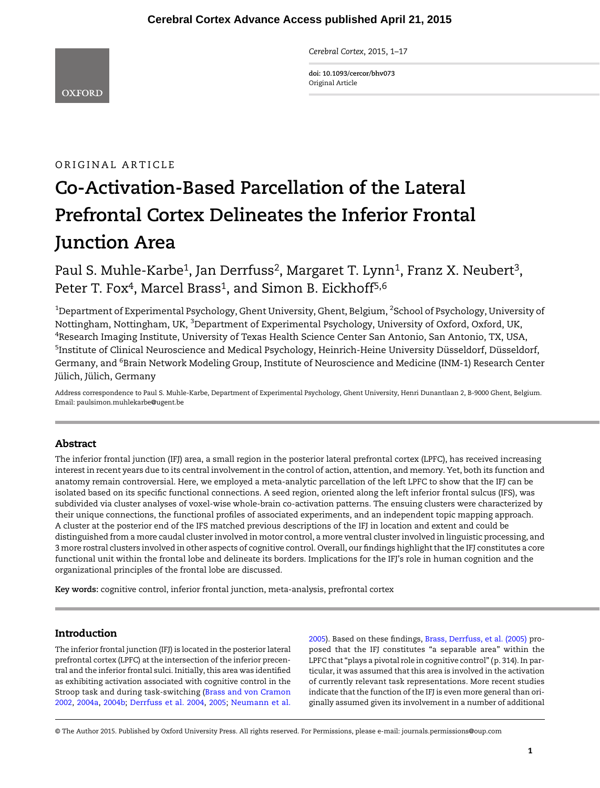Cerebral Cortex, 2015, 1–17

doi: 10.1093/cercor/bhv073 Original Article

# ORIGINAL ARTICLE

# Co-Activation-Based Parcellation of the Lateral Prefrontal Cortex Delineates the Inferior Frontal Junction Area

Paul S. Muhle-Karbe<sup>1</sup>, Jan Derrfuss<sup>2</sup>, Margaret T. Lynn<sup>1</sup>, Franz X. Neubert<sup>3</sup>, Peter T. Fox<sup>4</sup>, Marcel Brass<sup>1</sup>, and Simon B. Eickhoff<sup>5,6</sup>

 $^{\rm 1}$ Department of Experimental Psychology, Ghent University, Ghent, Belgium,  $^{\rm 2}$ School of Psychology, University of Nottingham, Nottingham, UK, <sup>3</sup>Department of Experimental Psychology, University of Oxford, Oxford, UK,  $^4$ Research Imaging Institute, University of Texas Health Science Center San Antonio, San Antonio, TX, USA, <sup>5</sup>Institute of Clinical Neuroscience and Medical Psychology, Heinrich-Heine University Düsseldorf, Düsseldorf, Germany, and <sup>6</sup>Brain Network Modeling Group, Institute of Neuroscience and Medicine (INM-1) Research Center Jülich, Jülich, Germany

Address correspondence to Paul S. Muhle-Karbe, Department of Experimental Psychology, Ghent University, Henri Dunantlaan 2, B-9000 Ghent, Belgium. Email: paulsimon.muhlekarbe@ugent.be

# Abstract

The inferior frontal junction (IFJ) area, a small region in the posterior lateral prefrontal cortex (LPFC), has received increasing interest in recent years due to its central involvement in the control of action, attention, and memory. Yet, both its function and anatomy remain controversial. Here, we employed a meta-analytic parcellation of the left LPFC to show that the IFJ can be isolated based on its specific functional connections. A seed region, oriented along the left inferior frontal sulcus (IFS), was subdivided via cluster analyses of voxel-wise whole-brain co-activation patterns. The ensuing clusters were characterized by their unique connections, the functional profiles of associated experiments, and an independent topic mapping approach. A cluster at the posterior end of the IFS matched previous descriptions of the IFJ in location and extent and could be distinguished from a more caudal cluster involved in motor control, a more ventral cluster involved in linguistic processing, and 3 more rostral clusters involved in other aspects of cognitive control. Overall, our findings highlight that the IFJ constitutes a core functional unit within the frontal lobe and delineate its borders. Implications for the IFJ's role in human cognition and the organizational principles of the frontal lobe are discussed.

Key words: cognitive control, inferior frontal junction, meta-analysis, prefrontal cortex

# Introduction

The inferior frontal junction (IFJ) is located in the posterior lateral prefrontal cortex (LPFC) at the intersection of the inferior precentral and the inferior frontal sulci. Initially, this area was identified as exhibiting activation associated with cognitive control in the Stroop task and during task-switching ([Brass and von Cramon](#page-13-0) [2002,](#page-13-0) [2004a,](#page-13-0) [2004b](#page-14-0); [Derrfuss et al. 2004,](#page-14-0) [2005;](#page-14-0) [Neumann et al.](#page-15-0) [2005](#page-15-0)). Based on these findings, [Brass, Derrfuss, et al. \(2005\)](#page-13-0) proposed that the IFJ constitutes "a separable area" within the LPFC that "plays a pivotal role in cognitive control" (p. 314). In particular, it was assumed that this area is involved in the activation of currently relevant task representations. More recent studies indicate that the function of the IFJ is even more general than originally assumed given its involvement in a number of additional

© The Author 2015. Published by Oxford University Press. All rights reserved. For Permissions, please e-mail: journals.permissions@oup.com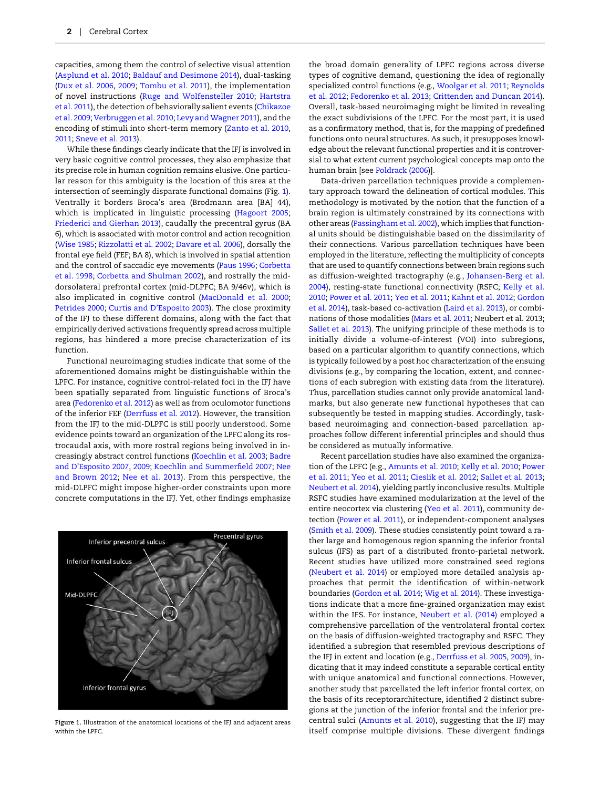<span id="page-1-0"></span>capacities, among them the control of selective visual attention ([Asplund et al. 2010;](#page-13-0) [Baldauf and Desimone 2014](#page-13-0)), dual-tasking ([Dux et al. 2006,](#page-14-0) [2009](#page-14-0); [Tombu et al. 2011\)](#page-16-0), the implementation of novel instructions [\(Ruge and Wolfensteller 2010](#page-16-0); [Hartstra](#page-15-0) [et al. 2011](#page-15-0)), the detection of behaviorally salient events ([Chikazoe](#page-14-0) [et al. 2009;](#page-14-0) [Verbruggen et al. 2010](#page-16-0); [Levy and Wagner 2011](#page-15-0)), and the encoding of stimuli into short-term memory [\(Zanto et al. 2010,](#page-16-0) [2011](#page-16-0); [Sneve et al. 2013\)](#page-16-0).

While these findings clearly indicate that the IFJ is involved in very basic cognitive control processes, they also emphasize that its precise role in human cognition remains elusive. One particular reason for this ambiguity is the location of this area at the intersection of seemingly disparate functional domains (Fig. 1). Ventrally it borders Broca's area (Brodmann area [BA] 44), which is implicated in linguistic processing [\(Hagoort 2005;](#page-15-0) [Friederici and Gierhan 2013](#page-15-0)), caudally the precentral gyrus (BA 6), which is associated with motor control and action recognition ([Wise 1985;](#page-16-0) [Rizzolatti et al. 2002;](#page-16-0) [Davare et al. 2006\)](#page-14-0), dorsally the frontal eye field (FEF; BA 8), which is involved in spatial attention and the control of saccadic eye movements ([Paus 1996](#page-15-0); [Corbetta](#page-14-0) [et al. 1998](#page-14-0); [Corbetta and Shulman 2002\)](#page-14-0), and rostrally the middorsolateral prefrontal cortex (mid-DLPFC; BA 9/46v), which is also implicated in cognitive control ([MacDonald et al. 2000;](#page-15-0) [Petrides 2000;](#page-15-0) Curtis and D'[Esposito 2003](#page-14-0)). The close proximity of the IFJ to these different domains, along with the fact that empirically derived activations frequently spread across multiple regions, has hindered a more precise characterization of its function.

Functional neuroimaging studies indicate that some of the aforementioned domains might be distinguishable within the LPFC. For instance, cognitive control-related foci in the IFJ have been spatially separated from linguistic functions of Broca's area [\(Fedorenko et al. 2012\)](#page-14-0) as well as from oculomotor functions of the inferior FEF [\(Derrfuss et al. 2012](#page-14-0)). However, the transition from the IFJ to the mid-DLPFC is still poorly understood. Some evidence points toward an organization of the LPFC along its rostrocaudal axis, with more rostral regions being involved in increasingly abstract control functions [\(Koechlin et al. 2003;](#page-15-0) [Badre](#page-13-0) and D'[Esposito 2007](#page-13-0), [2009;](#page-13-0) [Koechlin and Summer](#page-15-0)field 2007; [Nee](#page-15-0) [and Brown](#page-15-0) 2012; [Nee et al. 2013](#page-15-0)). From this perspective, the mid-DLPFC might impose higher-order constraints upon more concrete computations in the IFJ. Yet, other findings emphasize



Figure 1. Illustration of the anatomical locations of the IFJ and adjacent areas within the LPFC.

the broad domain generality of LPFC regions across diverse types of cognitive demand, questioning the idea of regionally specialized control functions (e.g., [Woolgar et al. 2011](#page-16-0); [Reynolds](#page-16-0) [et al. 2012;](#page-16-0) [Fedorenko et al. 2013;](#page-14-0) [Crittenden and Duncan 2014](#page-14-0)). Overall, task-based neuroimaging might be limited in revealing the exact subdivisions of the LPFC. For the most part, it is used as a confirmatory method, that is, for the mapping of predefined functions onto neural structures. As such, it presupposes knowledge about the relevant functional properties and it is controversial to what extent current psychological concepts map onto the human brain [see [Poldrack \(2006\)](#page-15-0)].

Data-driven parcellation techniques provide a complementary approach toward the delineation of cortical modules. This methodology is motivated by the notion that the function of a brain region is ultimately constrained by its connections with other areas ([Passingham et al. 2002\)](#page-15-0), which implies that functional units should be distinguishable based on the dissimilarity of their connections. Various parcellation techniques have been employed in the literature, reflecting the multiplicity of concepts that are used to quantify connections between brain regions such as diffusion-weighted tractography (e.g., [Johansen-Berg et al.](#page-15-0) [2004\)](#page-15-0), resting-state functional connectivity (RSFC; [Kelly et al.](#page-15-0) [2010](#page-15-0); [Power et al. 2011;](#page-16-0) [Yeo et al. 2011](#page-16-0); [Kahnt et al. 2012](#page-15-0); [Gordon](#page-15-0) [et al. 2014\)](#page-15-0), task-based co-activation ([Laird et al. 2013](#page-15-0)), or combinations of those modalities ([Mars et al. 2011;](#page-15-0) Neubert et al. 2013; [Sallet et al. 2013\)](#page-16-0). The unifying principle of these methods is to initially divide a volume-of-interest (VOI) into subregions, based on a particular algorithm to quantify connections, which is typically followed by a post hoc characterization of the ensuing divisions (e.g., by comparing the location, extent, and connections of each subregion with existing data from the literature). Thus, parcellation studies cannot only provide anatomical landmarks, but also generate new functional hypotheses that can subsequently be tested in mapping studies. Accordingly, taskbased neuroimaging and connection-based parcellation approaches follow different inferential principles and should thus be considered as mutually informative.

Recent parcellation studies have also examined the organization of the LPFC (e.g., [Amunts et al. 2010;](#page-13-0) [Kelly et al. 2010](#page-15-0); [Power](#page-16-0) [et al. 2011;](#page-16-0) [Yeo et al. 2011](#page-16-0); [Cieslik et al. 2012;](#page-14-0) [Sallet et al. 2013;](#page-16-0) [Neubert et al. 2014](#page-15-0)), yielding partly inconclusive results. Multiple RSFC studies have examined modularization at the level of the entire neocortex via clustering ([Yeo et al. 2011\)](#page-16-0), community detection ([Power et al. 2011\)](#page-16-0), or independent-component analyses ([Smith et al. 2009\)](#page-16-0). These studies consistently point toward a rather large and homogenous region spanning the inferior frontal sulcus (IFS) as part of a distributed fronto-parietal network. Recent studies have utilized more constrained seed regions ([Neubert et al. 2014\)](#page-15-0) or employed more detailed analysis approaches that permit the identification of within-network boundaries [\(Gordon et al. 2014](#page-15-0); [Wig et al. 2014](#page-16-0)). These investigations indicate that a more fine-grained organization may exist within the IFS. For instance, [Neubert et al. \(2014\)](#page-15-0) employed a comprehensive parcellation of the ventrolateral frontal cortex on the basis of diffusion-weighted tractography and RSFC. They identified a subregion that resembled previous descriptions of the IFJ in extent and location (e.g., [Derrfuss et al. 2005](#page-14-0), [2009\)](#page-14-0), indicating that it may indeed constitute a separable cortical entity with unique anatomical and functional connections. However, another study that parcellated the left inferior frontal cortex, on the basis of its receptorarchitecture, identified 2 distinct subregions at the junction of the inferior frontal and the inferior precentral sulci ([Amunts et al. 2010\)](#page-13-0), suggesting that the IFJ may itself comprise multiple divisions. These divergent findings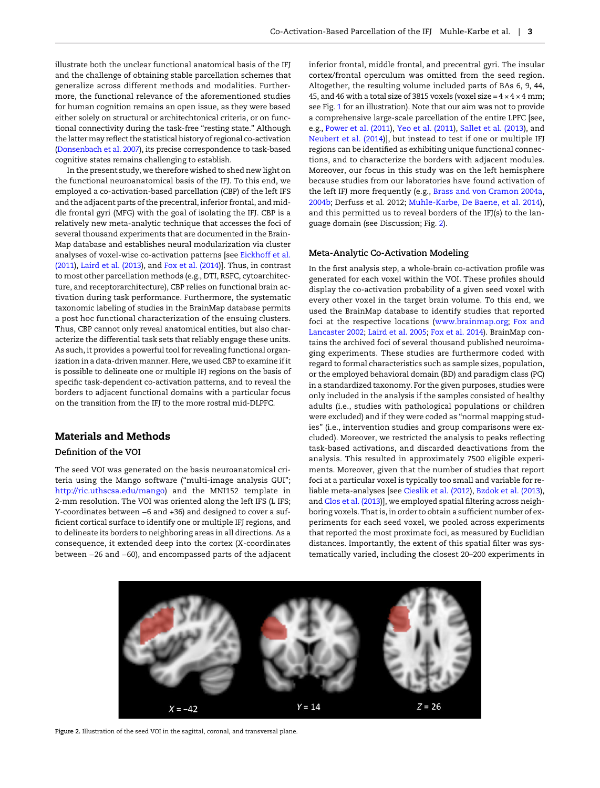illustrate both the unclear functional anatomical basis of the IFJ and the challenge of obtaining stable parcellation schemes that generalize across different methods and modalities. Furthermore, the functional relevance of the aforementioned studies for human cognition remains an open issue, as they were based either solely on structural or architechtonical criteria, or on functional connectivity during the task-free "resting state." Although the latter may reflect the statistical history of regional co-activation ([Donsenbach et al. 2007](#page-14-0)), its precise correspondence to task-based cognitive states remains challenging to establish.

In the present study, we therefore wished to shed new light on the functional neuroanatomical basis of the IFJ. To this end, we employed a co-activation-based parcellation (CBP) of the left IFS and the adjacent parts of the precentral, inferior frontal, and middle frontal gyri (MFG) with the goal of isolating the IFJ. CBP is a relatively new meta-analytic technique that accesses the foci of several thousand experiments that are documented in the Brain-Map database and establishes neural modularization via cluster analyses of voxel-wise co-activation patterns [see [Eickhoff et al.](#page-14-0) [\(2011\)](#page-14-0), [Laird et al. \(2013](#page-15-0)), and [Fox et al. \(2014](#page-15-0))]. Thus, in contrast to most other parcellation methods (e.g., DTI, RSFC, cytoarchitecture, and receptorarchitecture), CBP relies on functional brain activation during task performance. Furthermore, the systematic taxonomic labeling of studies in the BrainMap database permits a post hoc functional characterization of the ensuing clusters. Thus, CBP cannot only reveal anatomical entities, but also characterize the differential task sets that reliably engage these units. As such, it provides a powerful tool for revealing functional organization in a data-driven manner. Here, we used CBP to examine if it is possible to delineate one or multiple IFJ regions on the basis of specific task-dependent co-activation patterns, and to reveal the borders to adjacent functional domains with a particular focus on the transition from the IFJ to the more rostral mid-DLPFC.

## Materials and Methods

## Definition of the VOI

The seed VOI was generated on the basis neuroanatomical criteria using the Mango software ("multi-image analysis GUI"; [http://ric.uthscsa.edu/mango\)](http://ric.uthscsa.edu/mango) and the MNI152 template in 2-mm resolution. The VOI was oriented along the left IFS (L IFS; Y-coordinates between −6 and +36) and designed to cover a sufficient cortical surface to identify one or multiple IFJ regions, and to delineate its borders to neighboring areas in all directions. As a consequence, it extended deep into the cortex (X-coordinates between −26 and −60), and encompassed parts of the adjacent inferior frontal, middle frontal, and precentral gyri. The insular cortex/frontal operculum was omitted from the seed region. Altogether, the resulting volume included parts of BAs 6, 9, 44, 45, and 46 with a total size of 3815 voxels (voxel size =  $4 \times 4 \times 4$  mm; see Fig. [1](#page-1-0) for an illustration). Note that our aim was not to provide a comprehensive large-scale parcellation of the entire LPFC [see, e.g., [Power et al. \(2011](#page-16-0)), [Yeo et al. \(2011](#page-16-0)), [Sallet et al. \(2013\)](#page-16-0), and [Neubert et al. \(2014](#page-15-0))], but instead to test if one or multiple IFJ regions can be identified as exhibiting unique functional connections, and to characterize the borders with adjacent modules. Moreover, our focus in this study was on the left hemisphere because studies from our laboratories have found activation of the left IFJ more frequently (e.g., [Brass and von Cramon 2004a,](#page-13-0) [2004b](#page-14-0); Derfuss et al. 2012; [Muhle-Karbe, De Baene, et al. 2014](#page-15-0)), and this permitted us to reveal borders of the IFJ(s) to the language domain (see Discussion; Fig. 2).

#### Meta-Analytic Co-Activation Modeling

In the first analysis step, a whole-brain co-activation profile was generated for each voxel within the VOI. These profiles should display the co-activation probability of a given seed voxel with every other voxel in the target brain volume. To this end, we used the BrainMap database to identify studies that reported foci at the respective locations (<www.brainmap.org>; [Fox and](#page-15-0) [Lancaster 2002](#page-15-0); [Laird et al. 2005](#page-15-0); [Fox et al. 2014\)](#page-15-0). BrainMap contains the archived foci of several thousand published neuroimaging experiments. These studies are furthermore coded with regard to formal characteristics such as sample sizes, population, or the employed behavioral domain (BD) and paradigm class (PC) in a standardized taxonomy. For the given purposes, studies were only included in the analysis if the samples consisted of healthy adults (i.e., studies with pathological populations or children were excluded) and if they were coded as "normal mapping studies" (i.e., intervention studies and group comparisons were excluded). Moreover, we restricted the analysis to peaks reflecting task-based activations, and discarded deactivations from the analysis. This resulted in approximately 7500 eligible experiments. Moreover, given that the number of studies that report foci at a particular voxel is typically too small and variable for reliable meta-analyses [see [Cieslik et al. \(2012](#page-14-0)), [Bzdok et al. \(2013](#page-14-0)), and [Clos et al. \(2013\)](#page-14-0)], we employed spatial filtering across neighboring voxels. That is, in order to obtain a sufficient number of experiments for each seed voxel, we pooled across experiments that reported the most proximate foci, as measured by Euclidian distances. Importantly, the extent of this spatial filter was systematically varied, including the closest 20–200 experiments in



Figure 2. Illustration of the seed VOI in the sagittal, coronal, and transversal plane.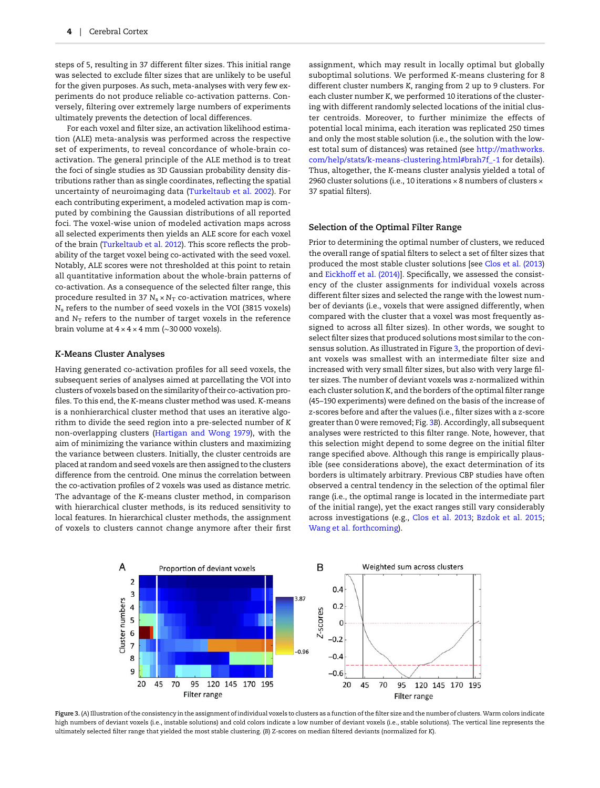<span id="page-3-0"></span>steps of 5, resulting in 37 different filter sizes. This initial range was selected to exclude filter sizes that are unlikely to be useful for the given purposes. As such, meta-analyses with very few experiments do not produce reliable co-activation patterns. Conversely, filtering over extremely large numbers of experiments ultimately prevents the detection of local differences.

For each voxel and filter size, an activation likelihood estimation (ALE) meta-analysis was performed across the respective set of experiments, to reveal concordance of whole-brain coactivation. The general principle of the ALE method is to treat the foci of single studies as 3D Gaussian probability density distributions rather than as single coordinates, reflecting the spatial uncertainty of neuroimaging data ([Turkeltaub et al. 2002\)](#page-16-0). For each contributing experiment, a modeled activation map is computed by combining the Gaussian distributions of all reported foci. The voxel-wise union of modeled activation maps across all selected experiments then yields an ALE score for each voxel of the brain ([Turkeltaub et al. 2012](#page-16-0)). This score reflects the probability of the target voxel being co-activated with the seed voxel. Notably, ALE scores were not thresholded at this point to retain all quantitative information about the whole-brain patterns of co-activation. As a consequence of the selected filter range, this procedure resulted in 37  $N_s \times N_T$  co-activation matrices, where N<sup>s</sup> refers to the number of seed voxels in the VOI (3815 voxels) and  $N_T$  refers to the number of target voxels in the reference brain volume at 4 × 4 × 4 mm (∼30 000 voxels).

#### K-Means Cluster Analyses

Having generated co-activation profiles for all seed voxels, the subsequent series of analyses aimed at parcellating the VOI into clusters of voxels based on the similarity of their co-activation profiles. To this end, the K-means cluster method was used. K-means is a nonhierarchical cluster method that uses an iterative algorithm to divide the seed region into a pre-selected number of K non-overlapping clusters ([Hartigan and Wong 1979](#page-15-0)), with the aim of minimizing the variance within clusters and maximizing the variance between clusters. Initially, the cluster centroids are placed at random and seed voxels are then assigned to the clusters difference from the centroid. One minus the correlation between the co-activation profiles of 2 voxels was used as distance metric. The advantage of the K-means cluster method, in comparison with hierarchical cluster methods, is its reduced sensitivity to local features. In hierarchical cluster methods, the assignment of voxels to clusters cannot change anymore after their first

assignment, which may result in locally optimal but globally suboptimal solutions. We performed K-means clustering for 8 different cluster numbers K, ranging from 2 up to 9 clusters. For each cluster number K, we performed 10 iterations of the clustering with different randomly selected locations of the initial cluster centroids. Moreover, to further minimize the effects of potential local minima, each iteration was replicated 250 times and only the most stable solution (i.e., the solution with the lowest total sum of distances) was retained (see [http://mathworks.](http://mathworks.com/help/stats/k-means-clustering.html#brah7f_-1) [com/help/stats/k-means-clustering.html#brah7f\\_-1](http://mathworks.com/help/stats/k-means-clustering.html#brah7f_-1) for details). Thus, altogether, the K-means cluster analysis yielded a total of 2960 cluster solutions (i.e., 10 iterations × 8 numbers of clusters × 37 spatial filters).

## Selection of the Optimal Filter Range

Prior to determining the optimal number of clusters, we reduced the overall range of spatial filters to select a set of filter sizes that produced the most stable cluster solutions [see [Clos et al. \(2013](#page-14-0)) and [Eickhoff et al. \(2014\)](#page-14-0)]. Specifically, we assessed the consistency of the cluster assignments for individual voxels across different filter sizes and selected the range with the lowest number of deviants (i.e., voxels that were assigned differently, when compared with the cluster that a voxel was most frequently assigned to across all filter sizes). In other words, we sought to select filter sizes that produced solutions most similar to the consensus solution. As illustrated in Figure 3, the proportion of deviant voxels was smallest with an intermediate filter size and increased with very small filter sizes, but also with very large filter sizes. The number of deviant voxels was z-normalized within each cluster solution K, and the borders of the optimal filter range (45–190 experiments) were defined on the basis of the increase of z-scores before and after the values (i.e., filter sizes with a z-score greater than 0 were removed; Fig. 3B). Accordingly, all subsequent analyses were restricted to this filter range. Note, however, that this selection might depend to some degree on the initial filter range specified above. Although this range is empirically plausible (see considerations above), the exact determination of its borders is ultimately arbitrary. Previous CBP studies have often observed a central tendency in the selection of the optimal filer range (i.e., the optimal range is located in the intermediate part of the initial range), yet the exact ranges still vary considerably across investigations (e.g., [Clos et al. 2013](#page-14-0); [Bzdok et al. 2015;](#page-14-0) [Wang et al. forthcoming](#page-16-0)).



Figure 3. (A) Illustration of the consistency in the assignment of individual voxels to clusters as a function of the filter size and the number of clusters. Warm colors indicate high numbers of deviant voxels (i.e., instable solutions) and cold colors indicate a low number of deviant voxels (i.e., stable solutions). The vertical line represents the ultimately selected filter range that yielded the most stable clustering. (B) Z-scores on median filtered deviants (normalized for K).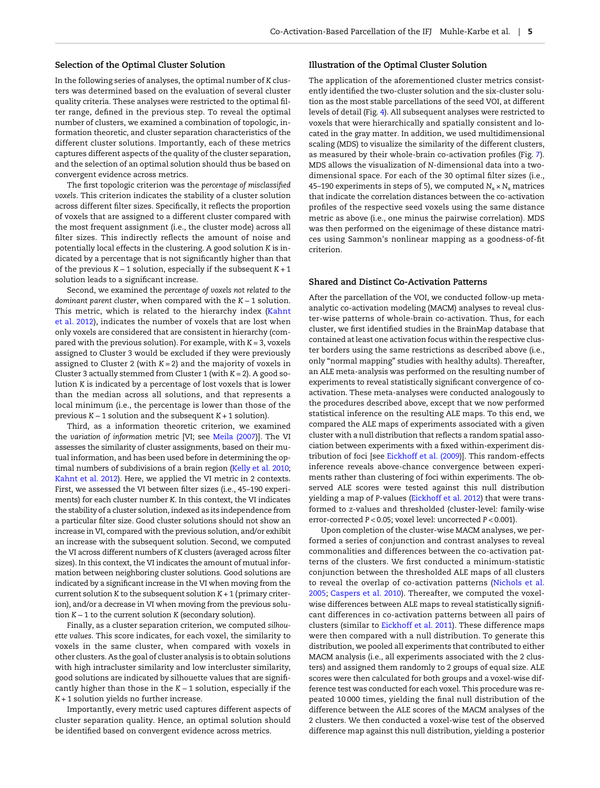#### Selection of the Optimal Cluster Solution

In the following series of analyses, the optimal number of K clusters was determined based on the evaluation of several cluster quality criteria. These analyses were restricted to the optimal filter range, defined in the previous step. To reveal the optimal number of clusters, we examined a combination of topologic, information theoretic, and cluster separation characteristics of the different cluster solutions. Importantly, each of these metrics captures different aspects of the quality of the cluster separation, and the selection of an optimal solution should thus be based on convergent evidence across metrics.

The first topologic criterion was the percentage of misclassified voxels. This criterion indicates the stability of a cluster solution across different filter sizes. Specifically, it reflects the proportion of voxels that are assigned to a different cluster compared with the most frequent assignment (i.e., the cluster mode) across all filter sizes. This indirectly reflects the amount of noise and potentially local effects in the clustering. A good solution K is indicated by a percentage that is not significantly higher than that of the previous K − 1 solution, especially if the subsequent K + 1 solution leads to a significant increase.

Second, we examined the percentage of voxels not related to the dominant parent cluster, when compared with the K − 1 solution. This metric, which is related to the hierarchy index ([Kahnt](#page-15-0) [et al. 2012\)](#page-15-0), indicates the number of voxels that are lost when only voxels are considered that are consistent in hierarchy (compared with the previous solution). For example, with  $K = 3$ , voxels assigned to Cluster 3 would be excluded if they were previously assigned to Cluster 2 (with  $K = 2$ ) and the majority of voxels in Cluster 3 actually stemmed from Cluster 1 (with  $K = 2$ ). A good solution K is indicated by a percentage of lost voxels that is lower than the median across all solutions, and that represents a local minimum (i.e., the percentage is lower than those of the previous K − 1 solution and the subsequent K + 1 solution).

Third, as a information theoretic criterion, we examined the variation of information metric [VI; see [Meila \(2007\)](#page-15-0)]. The VI assesses the similarity of cluster assignments, based on their mutual information, and has been used before in determining the optimal numbers of subdivisions of a brain region ([Kelly et al. 2010;](#page-15-0) [Kahnt et al. 2012\)](#page-15-0). Here, we applied the VI metric in 2 contexts. First, we assessed the VI between filter sizes (i.e., 45–190 experiments) for each cluster number K. In this context, the VI indicates the stability of a cluster solution, indexed as its independence from a particular filter size. Good cluster solutions should not show an increase in VI, compared with the previous solution, and/or exhibit an increase with the subsequent solution. Second, we computed the VI across different numbers of K clusters (averaged across filter sizes). In this context, the VI indicates the amount of mutual information between neighboring cluster solutions. Good solutions are indicated by a significant increase in the VI when moving from the current solution K to the subsequent solution  $K + 1$  (primary criterion), and/or a decrease in VI when moving from the previous solution K − 1 to the current solution K (secondary solution).

Finally, as a cluster separation criterion, we computed silhouette values. This score indicates, for each voxel, the similarity to voxels in the same cluster, when compared with voxels in other clusters. As the goal of cluster analysis is to obtain solutions with high intracluster similarity and low intercluster similarity, good solutions are indicated by silhouette values that are significantly higher than those in the K − 1 solution, especially if the K + 1 solution yields no further increase.

Importantly, every metric used captures different aspects of cluster separation quality. Hence, an optimal solution should be identified based on convergent evidence across metrics.

#### Illustration of the Optimal Cluster Solution

The application of the aforementioned cluster metrics consistently identified the two-cluster solution and the six-cluster solution as the most stable parcellations of the seed VOI, at different levels of detail (Fig. [4\)](#page-5-0). All subsequent analyses were restricted to voxels that were hierarchically and spatially consistent and located in the gray matter. In addition, we used multidimensional scaling (MDS) to visualize the similarity of the different clusters, as measured by their whole-brain co-activation profiles (Fig. [7](#page-8-0)). MDS allows the visualization of N-dimensional data into a twodimensional space. For each of the 30 optimal filter sizes (i.e., 45–190 experiments in steps of 5), we computed  $N_s \times N_s$  matrices that indicate the correlation distances between the co-activation profiles of the respective seed voxels using the same distance metric as above (i.e., one minus the pairwise correlation). MDS was then performed on the eigenimage of these distance matrices using Sammon's nonlinear mapping as a goodness-of-fit criterion.

#### Shared and Distinct Co-Activation Patterns

After the parcellation of the VOI, we conducted follow-up metaanalytic co-activation modeling (MACM) analyses to reveal cluster-wise patterns of whole-brain co-activation. Thus, for each cluster, we first identified studies in the BrainMap database that contained at least one activation focus within the respective cluster borders using the same restrictions as described above (i.e., only "normal mapping" studies with healthy adults). Thereafter, an ALE meta-analysis was performed on the resulting number of experiments to reveal statistically significant convergence of coactivation. These meta-analyses were conducted analogously to the procedures described above, except that we now performed statistical inference on the resulting ALE maps. To this end, we compared the ALE maps of experiments associated with a given cluster with a null distribution that reflects a random spatial association between experiments with a fixed within-experiment distribution of foci [see [Eickhoff et al. \(2009](#page-14-0))]. This random-effects inference reveals above-chance convergence between experiments rather than clustering of foci within experiments. The observed ALE scores were tested against this null distribution yielding a map of P-values [\(Eickhoff et al. 2012](#page-14-0)) that were transformed to z-values and thresholded (cluster-level: family-wise error-corrected P < 0.05; voxel level: uncorrected P < 0.001).

Upon completion of the cluster-wise MACM analyses, we performed a series of conjunction and contrast analyses to reveal commonalities and differences between the co-activation patterns of the clusters. We first conducted a minimum-statistic conjunction between the thresholded ALE maps of all clusters to reveal the overlap of co-activation patterns ([Nichols et al.](#page-15-0) [2005;](#page-15-0) [Caspers et al. 2010](#page-14-0)). Thereafter, we computed the voxelwise differences between ALE maps to reveal statistically significant differences in co-activation patterns between all pairs of clusters (similar to [Eickhoff et al. 2011\)](#page-14-0). These difference maps were then compared with a null distribution. To generate this distribution, we pooled all experiments that contributed to either MACM analysis (i.e., all experiments associated with the 2 clusters) and assigned them randomly to 2 groups of equal size. ALE scores were then calculated for both groups and a voxel-wise difference test was conducted for each voxel. This procedure was repeated 10 000 times, yielding the final null distribution of the difference between the ALE scores of the MACM analyses of the 2 clusters. We then conducted a voxel-wise test of the observed difference map against this null distribution, yielding a posterior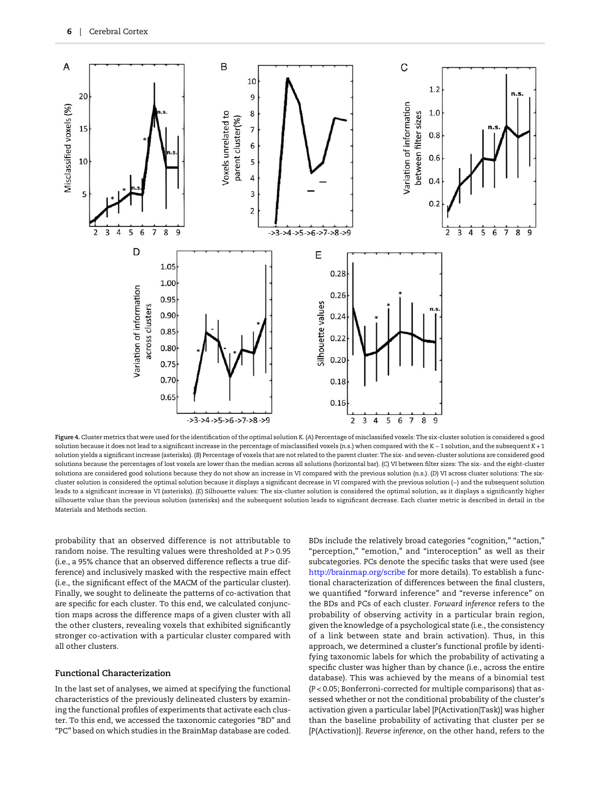<span id="page-5-0"></span>

Figure 4. Cluster metrics that were used for the identification of the optimal solution K. (A) Percentage of misclassified voxels: The six-cluster solution is considered a good solution because it does not lead to a significant increase in the percentage of misclassified voxels (n.s.) when compared with the K − 1 solution, and the subsequent K + 1 solution yields a significant increase (asterisks). (B) Percentage of voxels that are not related to the parent cluster: The six- and seven-cluster solutions are considered good solutions because the percentages of lost voxels are lower than the median across all solutions (horizontal bar). (C) VI between filter sizes: The six- and the eight-cluster solutions are considered good solutions because they do not show an increase in VI compared with the previous solution (n.s.). (D) VI across cluster solutions: The sixcluster solution is considered the optimal solution because it displays a significant decrease in VI compared with the previous solution (−) and the subsequent solution leads to a significant increase in VI (asterisks). (E) Silhouette values: The six-cluster solution is considered the optimal solution, as it displays a significantly higher silhouette value than the previous solution (asterisks) and the subsequent solution leads to significant decrease. Each cluster metric is described in detail in the Materials and Methods section.

probability that an observed difference is not attributable to random noise. The resulting values were thresholded at P > 0.95 (i.e., a 95% chance that an observed difference reflects a true difference) and inclusively masked with the respective main effect (i.e., the significant effect of the MACM of the particular cluster). Finally, we sought to delineate the patterns of co-activation that are specific for each cluster. To this end, we calculated conjunction maps across the difference maps of a given cluster with all the other clusters, revealing voxels that exhibited significantly stronger co-activation with a particular cluster compared with all other clusters.

#### Functional Characterization

In the last set of analyses, we aimed at specifying the functional characteristics of the previously delineated clusters by examining the functional profiles of experiments that activate each cluster. To this end, we accessed the taxonomic categories "BD" and "PC" based on which studies in the BrainMap database are coded.

BDs include the relatively broad categories "cognition," "action," "perception," "emotion," and "interoception" as well as their subcategories. PCs denote the specific tasks that were used (see <http://brainmap.org/scribe> for more details). To establish a functional characterization of differences between the final clusters, we quantified "forward inference" and "reverse inference" on the BDs and PCs of each cluster. Forward inference refers to the probability of observing activity in a particular brain region, given the knowledge of a psychological state (i.e., the consistency of a link between state and brain activation). Thus, in this approach, we determined a cluster's functional profile by identifying taxonomic labels for which the probability of activating a specific cluster was higher than by chance (i.e., across the entire database). This was achieved by the means of a binomial test (P < 0.05; Bonferroni-corrected for multiple comparisons) that assessed whether or not the conditional probability of the cluster's activation given a particular label [P(Activation|Task)] was higher than the baseline probability of activating that cluster per se [P(Activation)]. Reverse inference, on the other hand, refers to the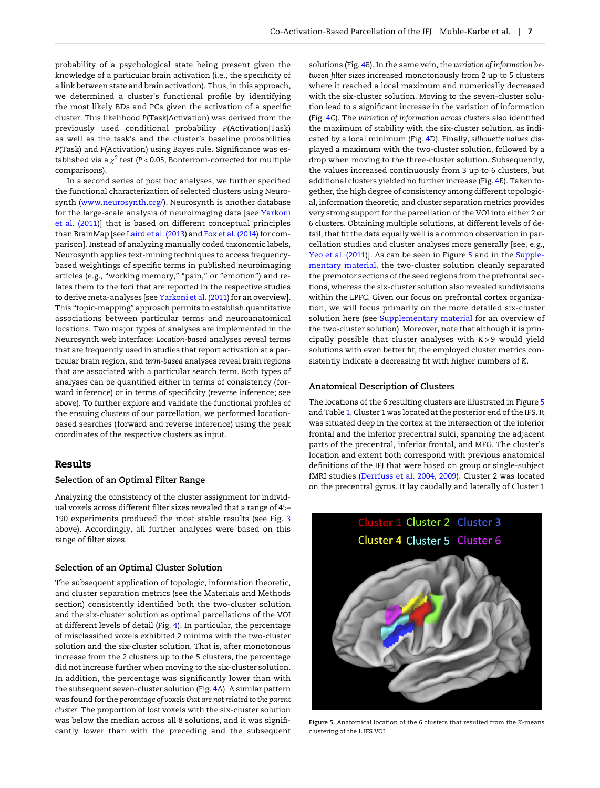probability of a psychological state being present given the knowledge of a particular brain activation (i.e., the specificity of a link between state and brain activation). Thus, in this approach, we determined a cluster's functional profile by identifying the most likely BDs and PCs given the activation of a specific cluster. This likelihood P(Task|Activation) was derived from the previously used conditional probability P(Activation|Task) as well as the task's and the cluster's baseline probabilities P(Task) and P(Activation) using Bayes rule. Significance was established via a  $\chi^2$  test (P < 0.05, Bonferroni-corrected for multiple comparisons).

In a second series of post hoc analyses, we further specified the functional characterization of selected clusters using Neurosynth (<www.neurosynth.org/>). Neurosynth is another database for the large-scale analysis of neuroimaging data [see [Yarkoni](#page-16-0) [et al. \(2011\)](#page-16-0)] that is based on different conceptual principles than BrainMap [see [Laird et al. \(2013](#page-15-0)) and [Fox et al. \(2014](#page-15-0)) for comparison]. Instead of analyzing manually coded taxonomic labels, Neurosynth applies text-mining techniques to access frequencybased weightings of specific terms in published neuroimaging articles (e.g., "working memory," "pain," or "emotion") and relates them to the foci that are reported in the respective studies to derive meta-analyses [see [Yarkoni et al. \(2011\)](#page-16-0) for an overview]. This "topic-mapping" approach permits to establish quantitative associations between particular terms and neuroanatomical locations. Two major types of analyses are implemented in the Neurosynth web interface: Location-based analyses reveal terms that are frequently used in studies that report activation at a particular brain region, and term-based analyses reveal brain regions that are associated with a particular search term. Both types of analyses can be quantified either in terms of consistency (forward inference) or in terms of specificity (reverse inference; see above). To further explore and validate the functional profiles of the ensuing clusters of our parcellation, we performed locationbased searches (forward and reverse inference) using the peak coordinates of the respective clusters as input.

## Results

#### Selection of an Optimal Filter Range

Analyzing the consistency of the cluster assignment for individual voxels across different filter sizes revealed that a range of 45– 190 experiments produced the most stable results (see Fig. [3](#page-3-0) above). Accordingly, all further analyses were based on this range of filter sizes.

#### Selection of an Optimal Cluster Solution

The subsequent application of topologic, information theoretic, and cluster separation metrics (see the Materials and Methods section) consistently identified both the two-cluster solution and the six-cluster solution as optimal parcellations of the VOI at different levels of detail (Fig. [4](#page-5-0)). In particular, the percentage of misclassified voxels exhibited 2 minima with the two-cluster solution and the six-cluster solution. That is, after monotonous increase from the 2 clusters up to the 5 clusters, the percentage did not increase further when moving to the six-cluster solution. In addition, the percentage was significantly lower than with the subsequent seven-cluster solution (Fig. [4](#page-5-0)A). A similar pattern was found for the percentage of voxels that are not related to the parent cluster. The proportion of lost voxels with the six-cluster solution was below the median across all 8 solutions, and it was significantly lower than with the preceding and the subsequent solutions (Fig. [4](#page-5-0)B). In the same vein, the variation of information between filter sizes increased monotonously from 2 up to 5 clusters where it reached a local maximum and numerically decreased with the six-cluster solution. Moving to the seven-cluster solution lead to a significant increase in the variation of information (Fig. [4](#page-5-0)C). The variation of information across clusters also identified the maximum of stability with the six-cluster solution, as indicated by a local minimum (Fig. [4](#page-5-0)D). Finally, silhouette values displayed a maximum with the two-cluster solution, followed by a drop when moving to the three-cluster solution. Subsequently, the values increased continuously from 3 up to 6 clusters, but additional clusters yielded no further increase (Fig. [4](#page-5-0)E). Taken together, the high degree of consistency among different topological, information theoretic, and cluster separation metrics provides very strong support for the parcellation of the VOI into either 2 or 6 clusters. Obtaining multiple solutions, at different levels of detail, that fit the data equally well is a common observation in parcellation studies and cluster analyses more generally [see, e.g., [Yeo et al. \(2011\)](#page-16-0)]. As can be seen in Figure 5 and in the [Supple](http://cercor.oxfordjournals.org/lookup/suppl/doi:10.1093/cercor/bhv073/-/DC1)[mentary material](http://cercor.oxfordjournals.org/lookup/suppl/doi:10.1093/cercor/bhv073/-/DC1), the two-cluster solution cleanly separated the premotor sections of the seed regions from the prefrontal sections, whereas the six-cluster solution also revealed subdivisions within the LPFC. Given our focus on prefrontal cortex organization, we will focus primarily on the more detailed six-cluster solution here (see [Supplementary material](http://cercor.oxfordjournals.org/lookup/suppl/doi:10.1093/cercor/bhv073/-/DC1) for an overview of the two-cluster solution). Moreover, note that although it is principally possible that cluster analyses with  $K > 9$  would yield solutions with even better fit, the employed cluster metrics consistently indicate a decreasing fit with higher numbers of K.

#### Anatomical Description of Clusters

The locations of the 6 resulting clusters are illustrated in Figure 5 and Table [1.](#page-7-0) Cluster 1 was located at the posterior end of the IFS. It was situated deep in the cortex at the intersection of the inferior frontal and the inferior precentral sulci, spanning the adjacent parts of the precentral, inferior frontal, and MFG. The cluster's location and extent both correspond with previous anatomical definitions of the IFJ that were based on group or single-subject fMRI studies ([Derrfuss et al. 2004](#page-14-0), [2009](#page-14-0)). Cluster 2 was located on the precentral gyrus. It lay caudally and laterally of Cluster 1



Figure 5. Anatomical location of the 6 clusters that resulted from the K-means clustering of the L IFS VOI.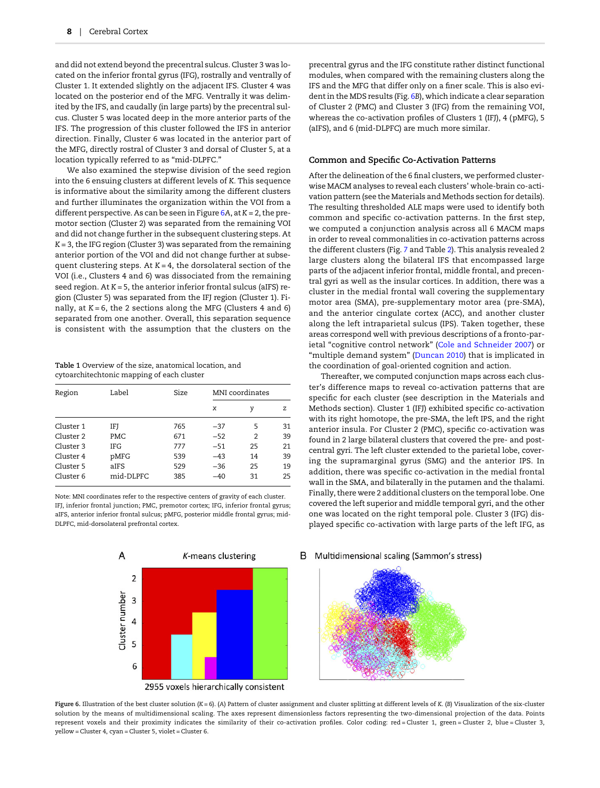<span id="page-7-0"></span>and did not extend beyond the precentral sulcus. Cluster 3 was located on the inferior frontal gyrus (IFG), rostrally and ventrally of Cluster 1. It extended slightly on the adjacent IFS. Cluster 4 was located on the posterior end of the MFG. Ventrally it was delimited by the IFS, and caudally (in large parts) by the precentral sulcus. Cluster 5 was located deep in the more anterior parts of the IFS. The progression of this cluster followed the IFS in anterior direction. Finally, Cluster 6 was located in the anterior part of the MFG, directly rostral of Cluster 3 and dorsal of Cluster 5, at a location typically referred to as "mid-DLPFC."

We also examined the stepwise division of the seed region into the 6 ensuing clusters at different levels of K. This sequence is informative about the similarity among the different clusters and further illuminates the organization within the VOI from a different perspective. As can be seen in Figure  $6A$ , at  $K = 2$ , the premotor section (Cluster 2) was separated from the remaining VOI and did not change further in the subsequent clustering steps. At  $K = 3$ , the IFG region (Cluster 3) was separated from the remaining anterior portion of the VOI and did not change further at subsequent clustering steps. At  $K = 4$ , the dorsolateral section of the VOI (i.e., Clusters 4 and 6) was dissociated from the remaining seed region. At  $K = 5$ , the anterior inferior frontal sulcus (aIFS) region (Cluster 5) was separated from the IFJ region (Cluster 1). Finally, at  $K = 6$ , the 2 sections along the MFG (Clusters 4 and 6) separated from one another. Overall, this separation sequence is consistent with the assumption that the clusters on the

Table 1 Overview of the size, anatomical location, and cytoarchitechtonic mapping of each cluster

| Region    | Label      | Size | MNI coordinates |    |    |
|-----------|------------|------|-----------------|----|----|
|           |            |      | x               | γ  | z  |
| Cluster 1 | IFJ        | 765  | $-37$           | 5  | 31 |
| Cluster 2 | PMC        | 671  | $-52$           | 2  | 39 |
| Cluster 3 | <b>IFG</b> | 777  | $-51$           | 25 | 21 |
| Cluster 4 | pMFG       | 539  | $-43$           | 14 | 39 |
| Cluster 5 | aIFS       | 529  | $-36$           | 25 | 19 |
| Cluster 6 | mid-DLPFC  | 385  | $-40$           | 31 | 25 |

Note: MNI coordinates refer to the respective centers of gravity of each cluster. IFJ, inferior frontal junction; PMC, premotor cortex; IFG, inferior frontal gyrus; aIFS, anterior inferior frontal sulcus; pMFG, posterior middle frontal gyrus; mid-DLPFC, mid-dorsolateral prefrontal cortex.



precentral gyrus and the IFG constitute rather distinct functional modules, when compared with the remaining clusters along the IFS and the MFG that differ only on a finer scale. This is also evident in the MDS results (Fig. 6B), which indicate a clear separation of Cluster 2 (PMC) and Cluster 3 (IFG) from the remaining VOI, whereas the co-activation profiles of Clusters 1 (IFJ), 4 (pMFG), 5 (aIFS), and 6 (mid-DLPFC) are much more similar.

#### Common and Specific Co-Activation Patterns

After the delineation of the 6 final clusters, we performed clusterwise MACM analyses to reveal each clusters' whole-brain co-activation pattern (see the Materials and Methods section for details). The resulting thresholded ALE maps were used to identify both common and specific co-activation patterns. In the first step, we computed a conjunction analysis across all 6 MACM maps in order to reveal commonalities in co-activation patterns across the different clusters (Fig. [7](#page-8-0) and Table [2](#page-8-0)). This analysis revealed 2 large clusters along the bilateral IFS that encompassed large parts of the adjacent inferior frontal, middle frontal, and precentral gyri as well as the insular cortices. In addition, there was a cluster in the medial frontal wall covering the supplementary motor area (SMA), pre-supplementary motor area (pre-SMA), and the anterior cingulate cortex (ACC), and another cluster along the left intraparietal sulcus (IPS). Taken together, these areas correspond well with previous descriptions of a fronto-parietal "cognitive control network" ([Cole and Schneider 2007\)](#page-14-0) or "multiple demand system" ([Duncan 2010](#page-14-0)) that is implicated in the coordination of goal-oriented cognition and action.

Thereafter, we computed conjunction maps across each cluster's difference maps to reveal co-activation patterns that are specific for each cluster (see description in the Materials and Methods section). Cluster 1 (IFJ) exhibited specific co-activation with its right homotope, the pre-SMA, the left IPS, and the right anterior insula. For Cluster 2 (PMC), specific co-activation was found in 2 large bilateral clusters that covered the pre- and postcentral gyri. The left cluster extended to the parietal lobe, covering the supramarginal gyrus (SMG) and the anterior IPS. In addition, there was specific co-activation in the medial frontal wall in the SMA, and bilaterally in the putamen and the thalami. Finally, there were 2 additional clusters on the temporal lobe. One covered the left superior and middle temporal gyri, and the other one was located on the right temporal pole. Cluster 3 (IFG) displayed specific co-activation with large parts of the left IFG, as

B Multidimensional scaling (Sammon's stress)



Figure 6. Illustration of the best cluster solution  $(K = 6)$ . (A) Pattern of cluster assignment and cluster splitting at different levels of K. (B) Visualization of the six-cluster solution by the means of multidimensional scaling. The axes represent dimensionless factors representing the two-dimensional projection of the data. Points represent voxels and their proximity indicates the similarity of their co-activation profiles. Color coding: red = Cluster 1, green = Cluster 2, blue = Cluster 3, yellow = Cluster 4, cyan = Cluster 5, violet = Cluster 6.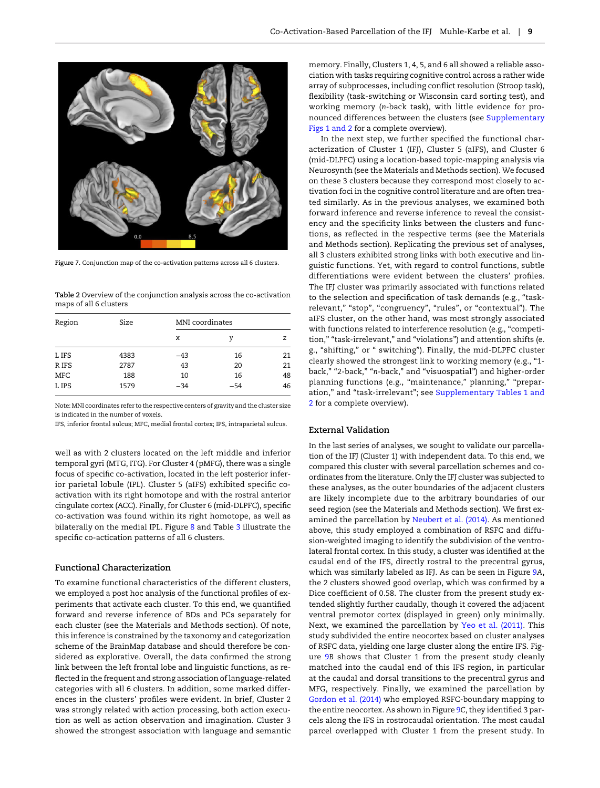<span id="page-8-0"></span>

Figure 7. Conjunction map of the co-activation patterns across all 6 clusters.

Table 2 Overview of the conjunction analysis across the co-activation maps of all 6 clusters

| Region | Size | MNI coordinates |       |    |  |
|--------|------|-----------------|-------|----|--|
|        |      | x               | ν     | z  |  |
| L IFS  | 4383 | -43             | 16    | 21 |  |
| R IFS  | 2787 | 43              | 20    | 21 |  |
| MFC    | 188  | 10              | 16    | 48 |  |
| L IPS  | 1579 | $-34$           | $-54$ | 46 |  |

Note: MNI coordinates refer to the respective centers of gravity and the cluster size is indicated in the number of voxels.

IFS, inferior frontal sulcus; MFC, medial frontal cortex; IPS, intraparietal sulcus.

well as with 2 clusters located on the left middle and inferior temporal gyri (MTG, ITG). For Cluster 4 (pMFG), there was a single focus of specific co-activation, located in the left posterior inferior parietal lobule (IPL). Cluster 5 (aIFS) exhibited specific coactivation with its right homotope and with the rostral anterior cingulate cortex (ACC). Finally, for Cluster 6 (mid-DLPFC), specific co-activation was found within its right homotope, as well as bilaterally on the medial IPL. Figure [8](#page-9-0) and Table [3](#page-10-0) illustrate the specific co-actication patterns of all 6 clusters.

#### Functional Characterization

To examine functional characteristics of the different clusters, we employed a post hoc analysis of the functional profiles of experiments that activate each cluster. To this end, we quantified forward and reverse inference of BDs and PCs separately for each cluster (see the Materials and Methods section). Of note, this inference is constrained by the taxonomy and categorization scheme of the BrainMap database and should therefore be considered as explorative. Overall, the data confirmed the strong link between the left frontal lobe and linguistic functions, as reflected in the frequent and strong association of language-related categories with all 6 clusters. In addition, some marked differences in the clusters' profiles were evident. In brief, Cluster 2 was strongly related with action processing, both action execution as well as action observation and imagination. Cluster 3 showed the strongest association with language and semantic memory. Finally, Clusters 1, 4, 5, and 6 all showed a reliable association with tasks requiring cognitive control across a rather wide array of subprocesses, including conflict resolution (Stroop task), flexibility (task-switching or Wisconsin card sorting test), and working memory (n-back task), with little evidence for pronounced differences between the clusters (see [Supplementary](http://cercor.oxfordjournals.org/lookup/suppl/doi:10.1093/cercor/bhv073/-/DC1) [Figs 1 and 2](http://cercor.oxfordjournals.org/lookup/suppl/doi:10.1093/cercor/bhv073/-/DC1) for a complete overview).

In the next step, we further specified the functional characterization of Cluster 1 (IFJ), Cluster 5 (aIFS), and Cluster 6 (mid-DLPFC) using a location-based topic-mapping analysis via Neurosynth (see the Materials and Methods section). We focused on these 3 clusters because they correspond most closely to activation foci in the cognitive control literature and are often treated similarly. As in the previous analyses, we examined both forward inference and reverse inference to reveal the consistency and the specificity links between the clusters and functions, as reflected in the respective terms (see the Materials and Methods section). Replicating the previous set of analyses, all 3 clusters exhibited strong links with both executive and linguistic functions. Yet, with regard to control functions, subtle differentiations were evident between the clusters' profiles. The IFJ cluster was primarily associated with functions related to the selection and specification of task demands (e.g., "taskrelevant," "stop", "congruency", "rules", or "contextual"). The aIFS cluster, on the other hand, was most strongly associated with functions related to interference resolution (e.g., "competition," "task-irrelevant," and "violations") and attention shifts (e. g., "shifting," or " switching"). Finally, the mid-DLPFC cluster clearly showed the strongest link to working memory (e.g., "1 back," "2-back," "n-back," and "visuospatial") and higher-order planning functions (e.g., "maintenance," planning," "preparation," and "task-irrelevant"; see [Supplementary Tables 1 and](http://cercor.oxfordjournals.org/lookup/suppl/doi:10.1093/cercor/bhv073/-/DC1) [2](http://cercor.oxfordjournals.org/lookup/suppl/doi:10.1093/cercor/bhv073/-/DC1) for a complete overview).

#### External Validation

In the last series of analyses, we sought to validate our parcellation of the IFJ (Cluster 1) with independent data. To this end, we compared this cluster with several parcellation schemes and coordinates from the literature. Only the IFJ cluster was subjected to these analyses, as the outer boundaries of the adjacent clusters are likely incomplete due to the arbitrary boundaries of our seed region (see the Materials and Methods section). We first examined the parcellation by [Neubert et al. \(2014\).](#page-15-0) As mentioned above, this study employed a combination of RSFC and diffusion-weighted imaging to identify the subdivision of the ventrolateral frontal cortex. In this study, a cluster was identified at the caudal end of the IFS, directly rostral to the precentral gyrus, which was similarly labeled as IFJ. As can be seen in Figure [9](#page-11-0)A, the 2 clusters showed good overlap, which was confirmed by a Dice coefficient of 0.58. The cluster from the present study extended slightly further caudally, though it covered the adjacent ventral premotor cortex (displayed in green) only minimally. Next, we examined the parcellation by [Yeo et al. \(2011\)](#page-16-0). This study subdivided the entire neocortex based on cluster analyses of RSFC data, yielding one large cluster along the entire IFS. Figure [9](#page-11-0)B shows that Cluster 1 from the present study cleanly matched into the caudal end of this IFS region, in particular at the caudal and dorsal transitions to the precentral gyrus and MFG, respectively. Finally, we examined the parcellation by [Gordon et al. \(2014\)](#page-15-0) who employed RSFC-boundary mapping to the entire neocortex. As shown in Figure [9](#page-11-0)C, they identified 3 parcels along the IFS in rostrocaudal orientation. The most caudal parcel overlapped with Cluster 1 from the present study. In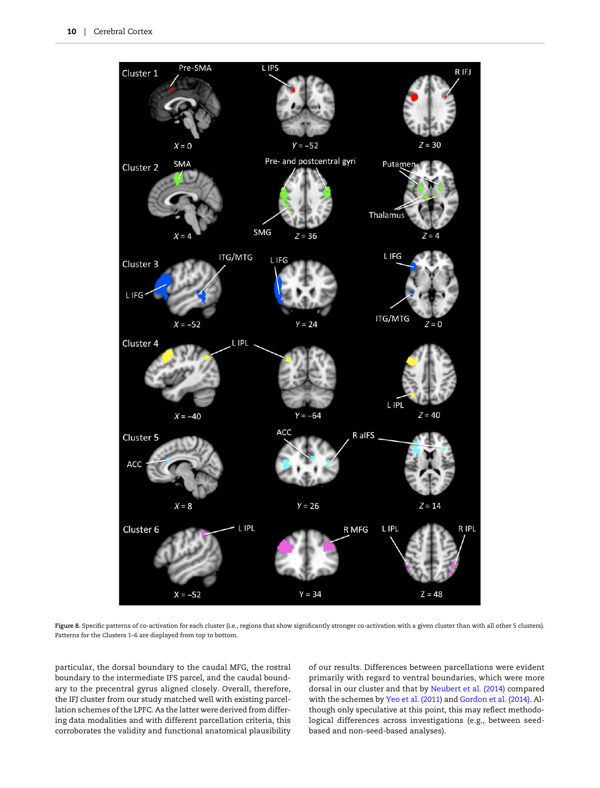<span id="page-9-0"></span>

Figure 8. Specific patterns of co-activation for each cluster (i.e., regions that show significantly stronger co-activation with a given cluster than with all other 5 clusters). Patterns for the Clusters 1–6 are displayed from top to bottom.

particular, the dorsal boundary to the caudal MFG, the rostral boundary to the intermediate IFS parcel, and the caudal boundary to the precentral gyrus aligned closely. Overall, therefore, the IFJ cluster from our study matched well with existing parcellation schemes of the LPFC. As the latter were derived from differing data modalities and with different parcellation criteria, this corroborates the validity and functional anatomical plausibility of our results. Differences between parcellations were evident primarily with regard to ventral boundaries, which were more dorsal in our cluster and that by [Neubert et al. \(2014\)](#page-15-0) compared with the schemes by [Yeo et al. \(2011\)](#page-16-0) and [Gordon et al. \(2014\).](#page-15-0) Although only speculative at this point, this may reflect methodological differences across investigations (e.g., between seedbased and non-seed-based analyses).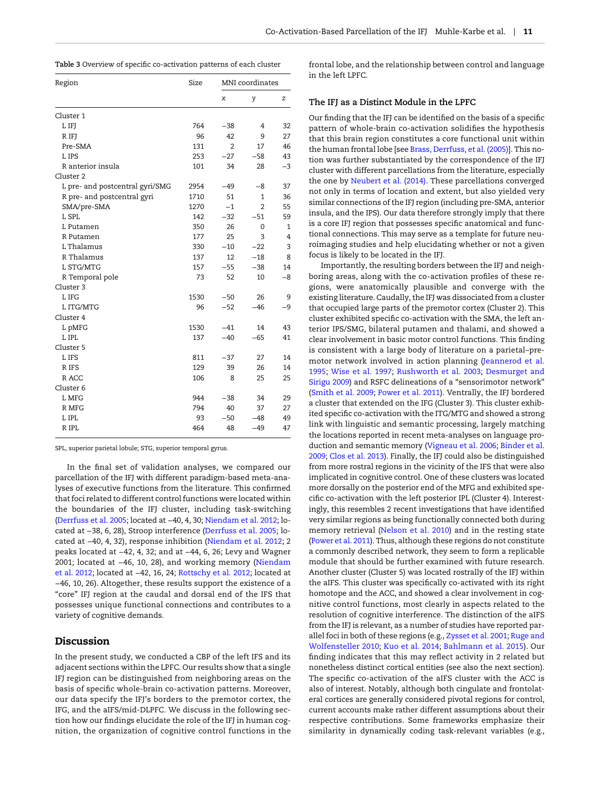<span id="page-10-0"></span>

| Region                          | Size | MNI coordinates |          |      |
|---------------------------------|------|-----------------|----------|------|
|                                 |      | x               | y        | Z    |
| Cluster 1                       |      |                 |          |      |
| L IFJ                           | 764  | $-38$           | 4        | 32   |
| R IFJ                           | 96   | 42              | 9        | 27   |
| Pre-SMA                         | 131  | $\overline{2}$  | 17       | 46   |
| L IPS                           | 253  | $-27$           | $-58$    | 43   |
| R anterior insula               | 101  | 34              | 28       | $-3$ |
| Cluster 2                       |      |                 |          |      |
| L pre- and postcentral gyri/SMG | 2954 | $-49$           | -8       | 37   |
| R pre- and postcentral gyri     | 1710 | 51              | 1        | 36   |
| SMA/pre-SMA                     | 1270 | $-1$            | 2        | 55   |
| L SPL                           | 142  | $-32$           | $-51$    | 59   |
| L Putamen                       | 350  | 26              | $\Omega$ | 1    |
| R Putamen                       | 177  | 25              | 3        | 4    |
| L Thalamus                      | 330  | $-10$           | $-22$    | 3    |
| R Thalamus                      | 137  | 12              | $-18$    | 8    |
| L STG/MTG                       | 157  | $-55$           | $-38$    | 14   |
| R Temporal pole                 | 73   | 52              | 10       | $-8$ |
| Cluster 3                       |      |                 |          |      |
| L IFG                           | 1530 | $-50$           | 26       | 9    |
| L ITG/MTG                       | 96   | $-52$           | $-46$    | $-9$ |
| Cluster 4                       |      |                 |          |      |
| L pMFG                          | 1530 | $-41$           | 14       | 43   |
| L IPL                           | 137  | $-40$           | $-65$    | 41   |
| Cluster 5                       |      |                 |          |      |
| L IFS                           | 811  | $-37$           | 27       | 14   |
| R IFS                           | 129  | 39              | 26       | 14   |
| R ACC                           | 106  | 8               | 25       | 25   |
| Cluster <sub>6</sub>            |      |                 |          |      |
| L MFG                           | 944  | $-38$           | 34       | 29   |
| R MFG                           | 794  | 40              | 37       | 27   |
| L IPL                           | 93   | $-50$           | $-48$    | 49   |
| R IPL                           | 464  | 48              | $-49$    | 47   |

SPL, superior parietal lobule; STG, superior temporal gyrus.

In the final set of validation analyses, we compared our parcellation of the IFJ with different paradigm-based meta-analyses of executive functions from the literature. This confirmed that foci related to different control functions were located within the boundaries of the IFJ cluster, including task-switching ([Derrfuss et al. 2005;](#page-14-0) located at −40, 4, 30; [Niendam et al. 2012](#page-15-0); located at −38, 6, 28), Stroop interference ([Derrfuss et al. 2005](#page-14-0); located at −40, 4, 32), response inhibition ([Niendam et al. 2012](#page-15-0); 2 peaks located at −42, 4, 32; and at −44, 6, 26; Levy and Wagner 2001; located at −46, 10, 28), and working memory ([Niendam](#page-15-0) [et al. 2012;](#page-15-0) located at −42, 16, 24; [Rottschy et al. 2012](#page-16-0); located at −46, 10, 26). Altogether, these results support the existence of a "core" IFJ region at the caudal and dorsal end of the IFS that possesses unique functional connections and contributes to a variety of cognitive demands.

## Discussion

In the present study, we conducted a CBP of the left IFS and its adjacent sections within the LPFC. Our results show that a single IFJ region can be distinguished from neighboring areas on the basis of specific whole-brain co-activation patterns. Moreover, our data specify the IFJ's borders to the premotor cortex, the IFG, and the aIFS/mid-DLPFC. We discuss in the following section how our findings elucidate the role of the IFJ in human cognition, the organization of cognitive control functions in the frontal lobe, and the relationship between control and language in the left LPFC.

#### The IFJ as a Distinct Module in the LPFC

Our finding that the IFJ can be identified on the basis of a specific pattern of whole-brain co-activation solidifies the hypothesis that this brain region constitutes a core functional unit within the human frontal lobe [see [Brass, Derrfuss, et al. \(2005\)\]](#page-13-0). This notion was further substantiated by the correspondence of the IFJ cluster with different parcellations from the literature, especially the one by [Neubert et al. \(2014\).](#page-15-0) These parcellations converged not only in terms of location and extent, but also yielded very similar connections of the IFJ region (including pre-SMA, anterior insula, and the IPS). Our data therefore strongly imply that there is a core IFJ region that possesses specific anatomical and functional connections. This may serve as a template for future neuroimaging studies and help elucidating whether or not a given focus is likely to be located in the IFJ.

Importantly, the resulting borders between the IFJ and neighboring areas, along with the co-activation profiles of these regions, were anatomically plausible and converge with the existing literature. Caudally, the IFJ was dissociated from a cluster that occupied large parts of the premotor cortex (Cluster 2). This cluster exhibited specific co-activation with the SMA, the left anterior IPS/SMG, bilateral putamen and thalami, and showed a clear involvement in basic motor control functions. This finding is consistent with a large body of literature on a parietal–premotor network involved in action planning ([Jeannerod et al.](#page-15-0) [1995;](#page-15-0) [Wise et al. 1997](#page-16-0); [Rushworth et al. 2003](#page-16-0); [Desmurget and](#page-14-0) [Sirigu 2009\)](#page-14-0) and RSFC delineations of a "sensorimotor network" ([Smith et al. 2009;](#page-16-0) [Power et al. 2011\)](#page-16-0). Ventrally, the IFJ bordered a cluster that extended on the IFG (Cluster 3). This cluster exhibited specific co-activation with the ITG/MTG and showed a strong link with linguistic and semantic processing, largely matching the locations reported in recent meta-analyses on language production and semantic memory [\(Vigneau et al. 2006;](#page-16-0) [Binder et al.](#page-13-0) [2009](#page-13-0); [Clos et al. 2013](#page-14-0)). Finally, the IFJ could also be distinguished from more rostral regions in the vicinity of the IFS that were also implicated in cognitive control. One of these clusters was located more dorsally on the posterior end of the MFG and exhibited specific co-activation with the left posterior IPL (Cluster 4). Interestingly, this resembles 2 recent investigations that have identified very similar regions as being functionally connected both during memory retrieval ([Nelson et al. 2010\)](#page-15-0) and in the resting state ([Power et al. 2011](#page-16-0)). Thus, although these regions do not constitute a commonly described network, they seem to form a replicable module that should be further examined with future research. Another cluster (Cluster 5) was located rostrally of the IFJ within the aIFS. This cluster was specifically co-activated with its right homotope and the ACC, and showed a clear involvement in cognitive control functions, most clearly in aspects related to the resolution of cognitive interference. The distinction of the aIFS from the IFJ is relevant, as a number of studies have reported parallel foci in both of these regions (e.g., [Zysset et al. 2001](#page-16-0); [Ruge and](#page-16-0) [Wolfensteller 2010](#page-16-0); [Kuo et al. 2014](#page-15-0); [Bahlmann et al. 2015\)](#page-13-0). Our finding indicates that this may reflect activity in 2 related but nonetheless distinct cortical entities (see also the next section). The specific co-activation of the aIFS cluster with the ACC is also of interest. Notably, although both cingulate and frontolateral cortices are generally considered pivotal regions for control, current accounts make rather different assumptions about their respective contributions. Some frameworks emphasize their similarity in dynamically coding task-relevant variables (e.g.,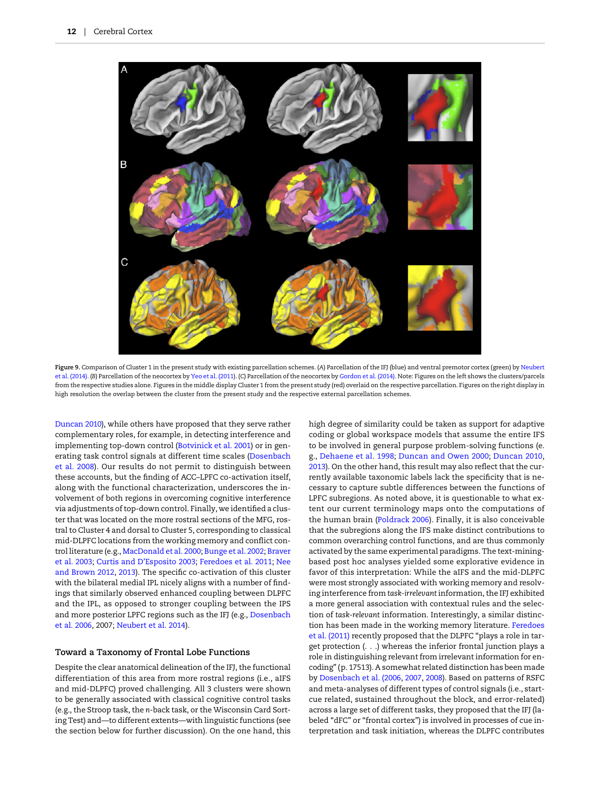<span id="page-11-0"></span>

Figure 9. Comparison of Cluster 1 in the present study with existing parcellation schemes. (A) Parcellation of the IFJ (blue) and ventral premotor cortex (green) by [Neubert](#page-15-0) [et al. \(2014\).](#page-15-0) (B) Parcellation of the neocortex by [Yeo et al. \(2011\)](#page-16-0). (C) Parcellation of the neocortex by [Gordon et al. \(2014\).](#page-15-0) Note: Figures on the left shows the clusters/parcels from the respective studies alone. Figures in the middle display Cluster 1 from the present study (red) overlaid on the respective parcellation. Figures on the right display in high resolution the overlap between the cluster from the present study and the respective external parcellation schemes.

[Duncan 2010\)](#page-14-0), while others have proposed that they serve rather complementary roles, for example, in detecting interference and implementing top-down control ([Botvinick et al. 2001\)](#page-13-0) or in generating task control signals at different time scales ([Dosenbach](#page-14-0) [et al. 2008](#page-14-0)). Our results do not permit to distinguish between these accounts, but the finding of ACC–LPFC co-activation itself, along with the functional characterization, underscores the involvement of both regions in overcoming cognitive interference via adjustments of top-down control. Finally, we identified a cluster that was located on the more rostral sections of the MFG, rostral to Cluster 4 and dorsal to Cluster 5, corresponding to classical mid-DLPFC locations from the working memory and conflict control literature (e.g., [MacDonald et al. 2000](#page-15-0); [Bunge et al. 2002](#page-14-0); [Braver](#page-14-0) [et al. 2003;](#page-14-0) Curtis and D'[Esposito 2003](#page-14-0); [Feredoes et al. 2011](#page-15-0); [Nee](#page-15-0) [and Brown 2012,](#page-15-0) [2013\)](#page-15-0). The specific co-activation of this cluster with the bilateral medial IPL nicely aligns with a number of findings that similarly observed enhanced coupling between DLPFC and the IPL, as opposed to stronger coupling between the IPS and more posterior LPFC regions such as the IFJ (e.g., [Dosenbach](#page-14-0) [et al. 2006](#page-14-0), 2007; [Neubert et al. 2014](#page-15-0)).

## Toward a Taxonomy of Frontal Lobe Functions

Despite the clear anatomical delineation of the IFJ, the functional differentiation of this area from more rostral regions (i.e., aIFS and mid-DLPFC) proved challenging. All 3 clusters were shown to be generally associated with classical cognitive control tasks (e.g., the Stroop task, the n-back task, or the Wisconsin Card Sorting Test) and—to different extents—with linguistic functions (see the section below for further discussion). On the one hand, this

high degree of similarity could be taken as support for adaptive coding or global workspace models that assume the entire IFS to be involved in general purpose problem-solving functions (e. g., [Dehaene et al. 1998](#page-14-0); [Duncan and Owen 2000](#page-14-0); [Duncan 2010,](#page-14-0) [2013](#page-14-0)). On the other hand, this result may also reflect that the currently available taxonomic labels lack the specificity that is necessary to capture subtle differences between the functions of LPFC subregions. As noted above, it is questionable to what extent our current terminology maps onto the computations of the human brain ([Poldrack](#page-15-0) 2006). Finally, it is also conceivable that the subregions along the IFS make distinct contributions to common overarching control functions, and are thus commonly activated by the same experimental paradigms. The text-miningbased post hoc analyses yielded some explorative evidence in favor of this interpretation: While the aIFS and the mid-DLPFC were most strongly associated with working memory and resolving interference from task-irrelevant information, the IFJ exhibited a more general association with contextual rules and the selection of task-relevant information. Interestingly, a similar distinction has been made in the working memory literature. [Feredoes](#page-15-0) [et al. \(2011\)](#page-15-0) recently proposed that the DLPFC "plays a role in target protection (. . .) whereas the inferior frontal junction plays a role in distinguishing relevant from irrelevant information for encoding" (p. 17513). A somewhat related distinction has been made by [Dosenbach et al. \(2006](#page-14-0), [2007,](#page-14-0) [2008](#page-14-0)). Based on patterns of RSFC and meta-analyses of different types of control signals (i.e., startcue related, sustained throughout the block, and error-related) across a large set of different tasks, they proposed that the IFJ (labeled "dFC" or "frontal cortex") is involved in processes of cue interpretation and task initiation, whereas the DLPFC contributes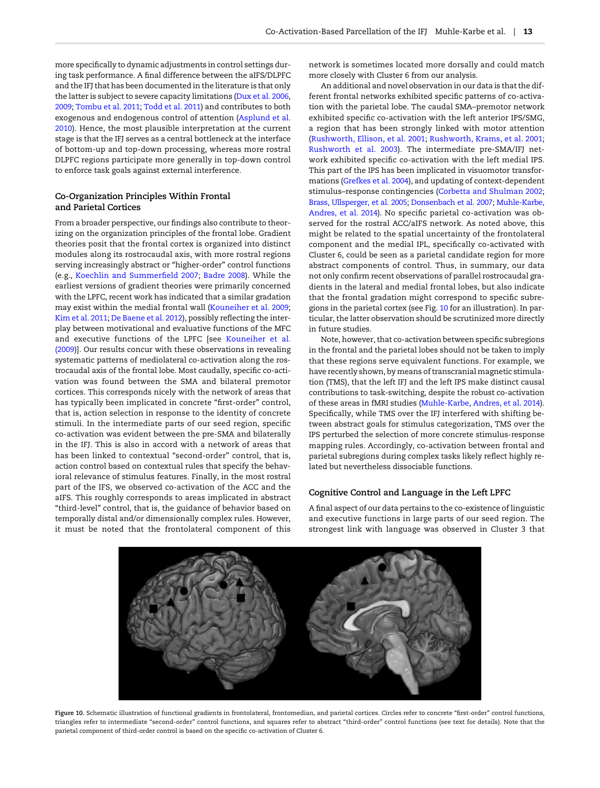more specifically to dynamic adjustments in control settings during task performance. A final difference between the aIFS/DLPFC and the IFJ that has been documented in the literature is that only the latter is subject to severe capacity limitations ([Dux et al. 2006,](#page-14-0) [2009](#page-14-0); [Tombu et al. 2011;](#page-16-0) [Todd et al. 2011](#page-16-0)) and contributes to both exogenous and endogenous control of attention ([Asplund et al.](#page-13-0) [2010\)](#page-13-0). Hence, the most plausible interpretation at the current stage is that the IFJ serves as a central bottleneck at the interface of bottom-up and top-down processing, whereas more rostral DLPFC regions participate more generally in top-down control to enforce task goals against external interference.

## Co-Organization Principles Within Frontal and Parietal Cortices

From a broader perspective, our findings also contribute to theorizing on the organization principles of the frontal lobe. Gradient theories posit that the frontal cortex is organized into distinct modules along its rostrocaudal axis, with more rostral regions serving increasingly abstract or "higher-order" control functions (e.g., [Koechlin and Summer](#page-15-0)field 2007; [Badre 2008](#page-13-0)). While the earliest versions of gradient theories were primarily concerned with the LPFC, recent work has indicated that a similar gradation may exist within the medial frontal wall ([Kouneiher et al. 2009;](#page-15-0) [Kim et al. 2011;](#page-15-0) [De Baene et al. 2012](#page-14-0)), possibly reflecting the interplay between motivational and evaluative functions of the MFC and executive functions of the LPFC [see [Kouneiher et al.](#page-15-0) [\(2009\)](#page-15-0)]. Our results concur with these observations in revealing systematic patterns of mediolateral co-activation along the rostrocaudal axis of the frontal lobe. Most caudally, specific co-activation was found between the SMA and bilateral premotor cortices. This corresponds nicely with the network of areas that has typically been implicated in concrete "first-order" control, that is, action selection in response to the identity of concrete stimuli. In the intermediate parts of our seed region, specific co-activation was evident between the pre-SMA and bilaterally in the IFJ. This is also in accord with a network of areas that has been linked to contextual "second-order" control, that is, action control based on contextual rules that specify the behavioral relevance of stimulus features. Finally, in the most rostral part of the IFS, we observed co-activation of the ACC and the aIFS. This roughly corresponds to areas implicated in abstract "third-level" control, that is, the guidance of behavior based on temporally distal and/or dimensionally complex rules. However, it must be noted that the frontolateral component of this

network is sometimes located more dorsally and could match more closely with Cluster 6 from our analysis.

An additional and novel observation in our data is that the different frontal networks exhibited specific patterns of co-activation with the parietal lobe. The caudal SMA–premotor network exhibited specific co-activation with the left anterior IPS/SMG, a region that has been strongly linked with motor attention ([Rushworth, Ellison, et al. 2001](#page-16-0); [Rushworth, Krams, et al. 2001;](#page-16-0) [Rushworth et al. 2003\)](#page-16-0). The intermediate pre-SMA/IFJ network exhibited specific co-activation with the left medial IPS. This part of the IPS has been implicated in visuomotor transformations ([Grefkes et al. 2004\)](#page-15-0), and updating of context-dependent stimulus–response contingencies [\(Corbetta and Shulman 2002;](#page-14-0) [Brass, Ullsperger, et al. 2005](#page-13-0); [Donsenbach et al. 2007](#page-14-0); [Muhle-Karbe,](#page-15-0) [Andres, et al. 2014\)](#page-15-0). No specific parietal co-activation was observed for the rostral ACC/aIFS network. As noted above, this might be related to the spatial uncertainty of the frontolateral component and the medial IPL, specifically co-activated with Cluster 6, could be seen as a parietal candidate region for more abstract components of control. Thus, in summary, our data not only confirm recent observations of parallel rostrocaudal gradients in the lateral and medial frontal lobes, but also indicate that the frontal gradation might correspond to specific subregions in the parietal cortex (see Fig. 10 for an illustration). In particular, the latter observation should be scrutinized more directly in future studies.

Note, however, that co-activation between specific subregions in the frontal and the parietal lobes should not be taken to imply that these regions serve equivalent functions. For example, we have recently shown, by means of transcranial magnetic stimulation (TMS), that the left IFJ and the left IPS make distinct causal contributions to task-switching, despite the robust co-activation of these areas in fMRI studies [\(Muhle-Karbe, Andres, et al. 2014](#page-15-0)). Specifically, while TMS over the IFJ interfered with shifting between abstract goals for stimulus categorization, TMS over the IPS perturbed the selection of more concrete stimulus-response mapping rules. Accordingly, co-activation between frontal and parietal subregions during complex tasks likely reflect highly related but nevertheless dissociable functions.

#### Cognitive Control and Language in the Left LPFC

A final aspect of our data pertains to the co-existence of linguistic and executive functions in large parts of our seed region. The strongest link with language was observed in Cluster 3 that



Figure 10. Schematic illustration of functional gradients in frontolateral, frontomedian, and parietal cortices. Circles refer to concrete "first-order" control functions, triangles refer to intermediate "second-order" control functions, and squares refer to abstract "third-order" control functions (see text for details). Note that the parietal component of third-order control is based on the specific co-activation of Cluster 6.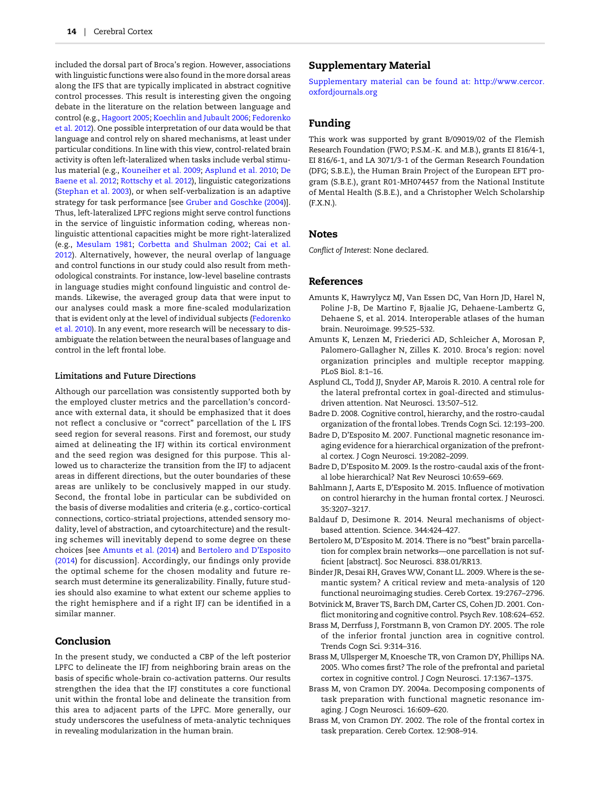<span id="page-13-0"></span>included the dorsal part of Broca's region. However, associations with linguistic functions were also found in the more dorsal areas along the IFS that are typically implicated in abstract cognitive control processes. This result is interesting given the ongoing debate in the literature on the relation between language and control (e.g., [Hagoort 2005;](#page-15-0) [Koechlin and Jubault 2006;](#page-15-0) [Fedorenko](#page-14-0) [et al. 2012\)](#page-14-0). One possible interpretation of our data would be that language and control rely on shared mechanisms, at least under particular conditions. In line with this view, control-related brain activity is often left-lateralized when tasks include verbal stimulus material (e.g., [Kouneiher et al. 2009](#page-15-0); Asplund et al. 2010; [De](#page-14-0) [Baene et al. 2012;](#page-14-0) [Rottschy et al. 2012](#page-16-0)), linguistic categorizations ([Stephan et al. 2003](#page-16-0)), or when self-verbalization is an adaptive strategy for task performance [see [Gruber and Goschke \(2004\)](#page-15-0)]. Thus, left-lateralized LPFC regions might serve control functions in the service of linguistic information coding, whereas nonlinguistic attentional capacities might be more right-lateralized (e.g., [Mesulam 1981](#page-15-0); [Corbetta and Shulman 2002;](#page-14-0) [Cai et al.](#page-14-0) [2012\)](#page-14-0). Alternatively, however, the neural overlap of language and control functions in our study could also result from methodological constraints. For instance, low-level baseline contrasts in language studies might confound linguistic and control demands. Likewise, the averaged group data that were input to our analyses could mask a more fine-scaled modularization that is evident only at the level of individual subjects ([Fedorenko](#page-14-0) [et al. 2010\)](#page-14-0). In any event, more research will be necessary to disambiguate the relation between the neural bases of language and control in the left frontal lobe.

#### Limitations and Future Directions

Although our parcellation was consistently supported both by the employed cluster metrics and the parcellation's concordance with external data, it should be emphasized that it does not reflect a conclusive or "correct" parcellation of the L IFS seed region for several reasons. First and foremost, our study aimed at delineating the IFJ within its cortical environment and the seed region was designed for this purpose. This allowed us to characterize the transition from the IFJ to adjacent areas in different directions, but the outer boundaries of these areas are unlikely to be conclusively mapped in our study. Second, the frontal lobe in particular can be subdivided on the basis of diverse modalities and criteria (e.g., cortico-cortical connections, cortico-striatal projections, attended sensory modality, level of abstraction, and cytoarchitecture) and the resulting schemes will inevitably depend to some degree on these choices [see Amunts et al. (2014) and Bertolero and D'Esposito (2014) for discussion]. Accordingly, our findings only provide the optimal scheme for the chosen modality and future research must determine its generalizability. Finally, future studies should also examine to what extent our scheme applies to the right hemisphere and if a right IFJ can be identified in a similar manner.

## Conclusion

In the present study, we conducted a CBP of the left posterior LPFC to delineate the IFJ from neighboring brain areas on the basis of specific whole-brain co-activation patterns. Our results strengthen the idea that the IFJ constitutes a core functional unit within the frontal lobe and delineate the transition from this area to adjacent parts of the LPFC. More generally, our study underscores the usefulness of meta-analytic techniques in revealing modularization in the human brain.

## Supplementary Material

[Supplementary material can be found at:](http://cercor.oxfordjournals.org/lookup/suppl/doi:10.1093/cercor/bhv073/-/DC1) [http://www.cercor.](http://www.cercor.oxfordjournals.org/) [oxfordjournals.org](http://www.cercor.oxfordjournals.org/)

## Funding

This work was supported by grant B/09019/02 of the Flemish Research Foundation (FWO; P.S.M.-K. and M.B.), grants EI 816/4-1, EI 816/6-1, and LA 3071/3-1 of the German Research Foundation (DFG; S.B.E.), the Human Brain Project of the European EFT program (S.B.E.), grant R01-MH074457 from the National Institute of Mental Health (S.B.E.), and a Christopher Welch Scholarship (F.X.N.).

#### Notes

Conflict of Interest: None declared.

#### References

- Amunts K, Hawrylycz MJ, Van Essen DC, Van Horn JD, Harel N, Poline J-B, De Martino F, Bjaalie JG, Dehaene-Lambertz G, Dehaene S, et al. 2014. Interoperable atlases of the human brain. Neuroimage. 99:525–532.
- Amunts K, Lenzen M, Friederici AD, Schleicher A, Morosan P, Palomero-Gallagher N, Zilles K. 2010. Broca's region: novel organization principles and multiple receptor mapping. PLoS Biol. 8:1–16.
- Asplund CL, Todd JJ, Snyder AP, Marois R. 2010. A central role for the lateral prefrontal cortex in goal-directed and stimulusdriven attention. Nat Neurosci. 13:507–512.
- Badre D. 2008. Cognitive control, hierarchy, and the rostro-caudal organization of the frontal lobes. Trends Cogn Sci. 12:193–200.
- Badre D, D'Esposito M. 2007. Functional magnetic resonance imaging evidence for a hierarchical organization of the prefrontal cortex. J Cogn Neurosci. 19:2082–2099.
- Badre D, D'Esposito M. 2009. Is the rostro-caudal axis of the frontal lobe hierarchical? Nat Rev Neurosci 10:659–669.
- Bahlmann J, Aarts E, D'Esposito M. 2015. Influence of motivation on control hierarchy in the human frontal cortex. J Neurosci. 35:3207–3217.
- Baldauf D, Desimone R. 2014. Neural mechanisms of objectbased attention. Science. 344:424–427.
- Bertolero M, D'Esposito M. 2014. There is no "best" brain parcellation for complex brain networks—one parcellation is not sufficient [abstract]. Soc Neurosci. 838.01/RR13.
- Binder JR, Desai RH, Graves WW, Conant LL. 2009. Where is the semantic system? A critical review and meta-analysis of 120 functional neuroimaging studies. Cereb Cortex. 19:2767–2796.
- Botvinick M, Braver TS, Barch DM, Carter CS, Cohen JD. 2001. Conflict monitoring and cognitive control. Psych Rev. 108:624–652.
- Brass M, Derrfuss J, Forstmann B, von Cramon DY. 2005. The role of the inferior frontal junction area in cognitive control. Trends Cogn Sci. 9:314–316.
- Brass M, Ullsperger M, Knoesche TR, von Cramon DY, Phillips NA. 2005. Who comes first? The role of the prefrontal and parietal cortex in cognitive control. J Cogn Neurosci. 17:1367–1375.
- Brass M, von Cramon DY. 2004a. Decomposing components of task preparation with functional magnetic resonance imaging. J Cogn Neurosci. 16:609–620.
- Brass M, von Cramon DY. 2002. The role of the frontal cortex in task preparation. Cereb Cortex. 12:908–914.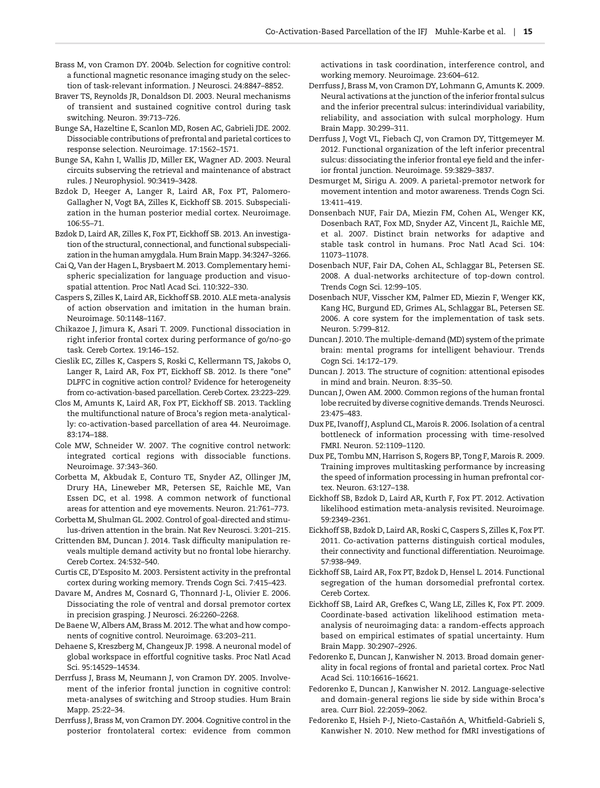- <span id="page-14-0"></span>Brass M, von Cramon DY. 2004b. Selection for cognitive control: a functional magnetic resonance imaging study on the selection of task-relevant information. J Neurosci. 24:8847–8852.
- Braver TS, Reynolds JR, Donaldson DI. 2003. Neural mechanisms of transient and sustained cognitive control during task switching. Neuron. 39:713–726.
- Bunge SA, Hazeltine E, Scanlon MD, Rosen AC, Gabrieli JDE. 2002. Dissociable contributions of prefrontal and parietal cortices to response selection. Neuroimage. 17:1562–1571.
- Bunge SA, Kahn I, Wallis JD, Miller EK, Wagner AD. 2003. Neural circuits subserving the retrieval and maintenance of abstract rules. J Neurophysiol. 90:3419–3428.
- Bzdok D, Heeger A, Langer R, Laird AR, Fox PT, Palomero-Gallagher N, Vogt BA, Zilles K, Eickhoff SB. 2015. Subspecialization in the human posterior medial cortex. Neuroimage. 106:55–71.
- Bzdok D, Laird AR, Zilles K, Fox PT, Eickhoff SB. 2013. An investigation of the structural, connectional, and functional subspecialization in the human amygdala. Hum Brain Mapp. 34:3247–3266.
- Cai Q, Van der Hagen L, Brysbaert M. 2013. Complementary hemispheric specialization for language production and visuospatial attention. Proc Natl Acad Sci. 110:322–330.
- Caspers S, Zilles K, Laird AR, Eickhoff SB. 2010. ALE meta-analysis of action observation and imitation in the human brain. Neuroimage. 50:1148–1167.
- Chikazoe J, Jimura K, Asari T. 2009. Functional dissociation in right inferior frontal cortex during performance of go/no-go task. Cereb Cortex. 19:146–152.
- Cieslik EC, Zilles K, Caspers S, Roski C, Kellermann TS, Jakobs O, Langer R, Laird AR, Fox PT, Eickhoff SB. 2012. Is there "one" DLPFC in cognitive action control? Evidence for heterogeneity from co-activation-based parcellation. Cereb Cortex. 23:223–229.
- Clos M, Amunts K, Laird AR, Fox PT, Eickhoff SB. 2013. Tackling the multifunctional nature of Broca's region meta-analytically: co-activation-based parcellation of area 44. Neuroimage. 83:174–188.
- Cole MW, Schneider W. 2007. The cognitive control network: integrated cortical regions with dissociable functions. Neuroimage. 37:343–360.
- Corbetta M, Akbudak E, Conturo TE, Snyder AZ, Ollinger JM, Drury HA, Lineweber MR, Petersen SE, Raichle ME, Van Essen DC, et al. 1998. A common network of functional areas for attention and eye movements. Neuron. 21:761–773.
- Corbetta M, Shulman GL. 2002. Control of goal-directed and stimulus-driven attention in the brain. Nat Rev Neurosci. 3:201–215.
- Crittenden BM, Duncan J. 2014. Task difficulty manipulation reveals multiple demand activity but no frontal lobe hierarchy. Cereb Cortex. 24:532–540.
- Curtis CE, D'Esposito M. 2003. Persistent activity in the prefrontal cortex during working memory. Trends Cogn Sci. 7:415–423.
- Davare M, Andres M, Cosnard G, Thonnard J-L, Olivier E. 2006. Dissociating the role of ventral and dorsal premotor cortex in precision grasping. J Neurosci. 26:2260–2268.
- De Baene W, Albers AM, Brass M. 2012. The what and how components of cognitive control. Neuroimage. 63:203–211.
- Dehaene S, Kreszberg M, Changeux JP. 1998. A neuronal model of global workspace in effortful cognitive tasks. Proc Natl Acad Sci. 95:14529–14534.
- Derrfuss J, Brass M, Neumann J, von Cramon DY. 2005. Involvement of the inferior frontal junction in cognitive control: meta-analyses of switching and Stroop studies. Hum Brain Mapp. 25:22–34.
- Derrfuss J, Brass M, von Cramon DY. 2004. Cognitive control in the posterior frontolateral cortex: evidence from common

activations in task coordination, interference control, and working memory. Neuroimage. 23:604–612.

- Derrfuss J, Brass M, von Cramon DY, Lohmann G, Amunts K. 2009. Neural activations at the junction of the inferior frontal sulcus and the inferior precentral sulcus: interindividual variability, reliability, and association with sulcal morphology. Hum Brain Mapp. 30:299–311.
- Derrfuss J, Vogt VL, Fiebach CJ, von Cramon DY, Tittgemeyer M. 2012. Functional organization of the left inferior precentral sulcus: dissociating the inferior frontal eye field and the inferior frontal junction. Neuroimage. 59:3829–3837.
- Desmurget M, Sirigu A. 2009. A parietal-premotor network for movement intention and motor awareness. Trends Cogn Sci. 13:411–419.
- Donsenbach NUF, Fair DA, Miezin FM, Cohen AL, Wenger KK, Dosenbach RAT, Fox MD, Snyder AZ, Vincent JL, Raichle ME, et al. 2007. Distinct brain networks for adaptive and stable task control in humans. Proc Natl Acad Sci. 104: 11073–11078.
- Dosenbach NUF, Fair DA, Cohen AL, Schlaggar BL, Petersen SE. 2008. A dual-networks architecture of top-down control. Trends Cogn Sci. 12:99–105.
- Dosenbach NUF, Visscher KM, Palmer ED, Miezin F, Wenger KK, Kang HC, Burgund ED, Grimes AL, Schlaggar BL, Petersen SE. 2006. A core system for the implementation of task sets. Neuron. 5:799–812.
- Duncan J. 2010. The multiple-demand (MD) system of the primate brain: mental programs for intelligent behaviour. Trends Cogn Sci. 14:172–179.
- Duncan J. 2013. The structure of cognition: attentional episodes in mind and brain. Neuron. 8:35–50.
- Duncan J, Owen AM. 2000. Common regions of the human frontal lobe recruited by diverse cognitive demands. Trends Neurosci. 23:475–483.
- Dux PE, Ivanoff J, Asplund CL, Marois R. 2006. Isolation of a central bottleneck of information processing with time-resolved FMRI. Neuron. 52:1109–1120.
- Dux PE, Tombu MN, Harrison S, Rogers BP, Tong F, Marois R. 2009. Training improves multitasking performance by increasing the speed of information processing in human prefrontal cortex. Neuron. 63:127–138.
- Eickhoff SB, Bzdok D, Laird AR, Kurth F, Fox PT. 2012. Activation likelihood estimation meta-analysis revisited. Neuroimage. 59:2349–2361.
- Eickhoff SB, Bzdok D, Laird AR, Roski C, Caspers S, Zilles K, Fox PT. 2011. Co-activation patterns distinguish cortical modules, their connectivity and functional differentiation. Neuroimage. 57:938–949.
- Eickhoff SB, Laird AR, Fox PT, Bzdok D, Hensel L. 2014. Functional segregation of the human dorsomedial prefrontal cortex. Cereb Cortex.
- Eickhoff SB, Laird AR, Grefkes C, Wang LE, Zilles K, Fox PT. 2009. Coordinate-based activation likelihood estimation metaanalysis of neuroimaging data: a random-effects approach based on empirical estimates of spatial uncertainty. Hum Brain Mapp. 30:2907–2926.
- Fedorenko E, Duncan J, Kanwisher N. 2013. Broad domain generality in focal regions of frontal and parietal cortex. Proc Natl Acad Sci. 110:16616–16621.
- Fedorenko E, Duncan J, Kanwisher N. 2012. Language-selective and domain-general regions lie side by side within Broca's area. Curr Biol. 22:2059–2062.
- Fedorenko E, Hsieh P-J, Nieto-Castañón A, Whitfield-Gabrieli S, Kanwisher N. 2010. New method for fMRI investigations of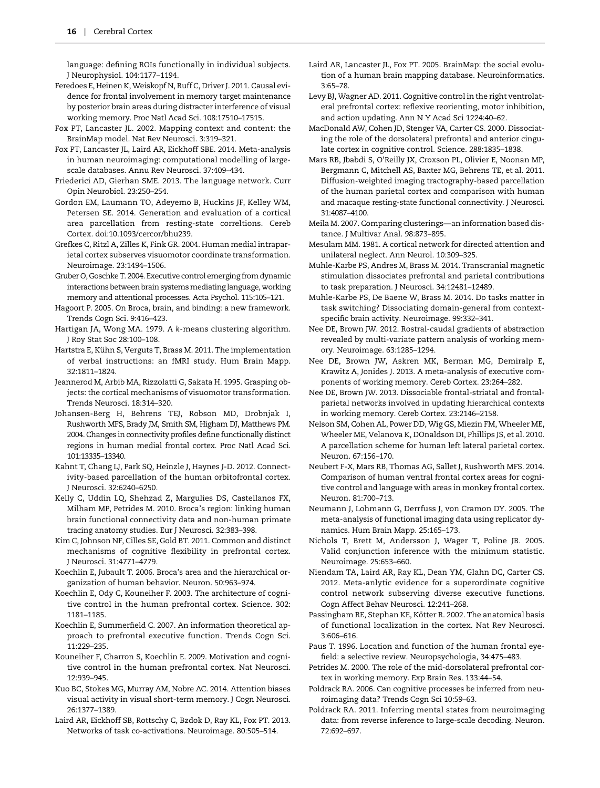<span id="page-15-0"></span>language: defining ROIs functionally in individual subjects. J Neurophysiol. 104:1177–1194.

- Feredoes E, Heinen K,Weiskopf N, Ruff C, Driver J. 2011. Causal evidence for frontal involvement in memory target maintenance by posterior brain areas during distracter interference of visual working memory. Proc Natl Acad Sci. 108:17510–17515.
- Fox PT, Lancaster JL. 2002. Mapping context and content: the BrainMap model. Nat Rev Neurosci. 3:319–321.
- Fox PT, Lancaster JL, Laird AR, Eickhoff SBE. 2014. Meta-analysis in human neuroimaging: computational modelling of largescale databases. Annu Rev Neurosci. 37:409–434.
- Friederici AD, Gierhan SME. 2013. The language network. Curr Opin Neurobiol. 23:250–254.
- Gordon EM, Laumann TO, Adeyemo B, Huckins JF, Kelley WM, Petersen SE. 2014. Generation and evaluation of a cortical area parcellation from resting-state correltions. Cereb Cortex. doi:10.1093/cercor/bhu239.
- Grefkes C, Ritzl A, Zilles K, Fink GR. 2004. Human medial intraparietal cortex subserves visuomotor coordinate transformation. Neuroimage. 23:1494–1506.
- Gruber O, Goschke T. 2004. Executive control emerging from dynamic interactions between brain systems mediating language, working memory and attentional processes. Acta Psychol. 115:105–121.
- Hagoort P. 2005. On Broca, brain, and binding: a new framework. Trends Cogn Sci. 9:416–423.
- Hartigan JA, Wong MA. 1979. A k-means clustering algorithm. J Roy Stat Soc 28:100–108.
- Hartstra E, Kühn S, Verguts T, Brass M. 2011. The implementation of verbal instructions: an fMRI study. Hum Brain Mapp. 32:1811–1824.
- Jeannerod M, Arbib MA, Rizzolatti G, Sakata H. 1995. Grasping objects: the cortical mechanisms of visuomotor transformation. Trends Neurosci. 18:314–320.
- Johansen-Berg H, Behrens TEJ, Robson MD, Drobnjak I, Rushworth MFS, Brady JM, Smith SM, Higham DJ, Matthews PM. 2004. Changes in connectivity profiles define functionally distinct regions in human medial frontal cortex. Proc Natl Acad Sci. 101:13335–13340.
- Kahnt T, Chang LJ, Park SQ, Heinzle J, Haynes J-D. 2012. Connectivity-based parcellation of the human orbitofrontal cortex. J Neurosci. 32:6240–6250.
- Kelly C, Uddin LQ, Shehzad Z, Margulies DS, Castellanos FX, Milham MP, Petrides M. 2010. Broca's region: linking human brain functional connectivity data and non-human primate tracing anatomy studies. Eur J Neurosci. 32:383–398.
- Kim C, Johnson NF, Cilles SE, Gold BT. 2011. Common and distinct mechanisms of cognitive flexibility in prefrontal cortex. J Neurosci. 31:4771–4779.
- Koechlin E, Jubault T. 2006. Broca's area and the hierarchical organization of human behavior. Neuron. 50:963–974.
- Koechlin E, Ody C, Kouneiher F. 2003. The architecture of cognitive control in the human prefrontal cortex. Science. 302: 1181–1185.
- Koechlin E, Summerfield C. 2007. An information theoretical approach to prefrontal executive function. Trends Cogn Sci. 11:229–235.
- Kouneiher F, Charron S, Koechlin E. 2009. Motivation and cognitive control in the human prefrontal cortex. Nat Neurosci. 12:939–945.
- Kuo BC, Stokes MG, Murray AM, Nobre AC. 2014. Attention biases visual activity in visual short-term memory. J Cogn Neurosci. 26:1377–1389.
- Laird AR, Eickhoff SB, Rottschy C, Bzdok D, Ray KL, Fox PT. 2013. Networks of task co-activations. Neuroimage. 80:505–514.
- Laird AR, Lancaster JL, Fox PT. 2005. BrainMap: the social evolution of a human brain mapping database. Neuroinformatics. 3:65–78.
- Levy BJ, Wagner AD. 2011. Cognitive control in the right ventrolateral prefrontal cortex: reflexive reorienting, motor inhibition, and action updating. Ann N Y Acad Sci 1224:40–62.
- MacDonald AW, Cohen JD, Stenger VA, Carter CS. 2000. Dissociating the role of the dorsolateral prefrontal and anterior cingulate cortex in cognitive control. Science. 288:1835–1838.
- Mars RB, Jbabdi S, O'Reilly JX, Croxson PL, Olivier E, Noonan MP, Bergmann C, Mitchell AS, Baxter MG, Behrens TE, et al. 2011. Diffusion-weighted imaging tractography-based parcellation of the human parietal cortex and comparison with human and macaque resting-state functional connectivity. J Neurosci. 31:4087–4100.
- Meila M. 2007. Comparing clusterings—an information based distance. J Multivar Anal. 98:873–895.
- Mesulam MM. 1981. A cortical network for directed attention and unilateral neglect. Ann Neurol. 10:309–325.
- Muhle-Karbe PS, Andres M, Brass M. 2014. Transcranial magnetic stimulation dissociates prefrontal and parietal contributions to task preparation. J Neurosci. 34:12481–12489.
- Muhle-Karbe PS, De Baene W, Brass M. 2014. Do tasks matter in task switching? Dissociating domain-general from contextspecific brain activity. Neuroimage. 99:332–341.
- Nee DE, Brown JW. 2012. Rostral-caudal gradients of abstraction revealed by multi-variate pattern analysis of working memory. Neuroimage. 63:1285–1294.
- Nee DE, Brown JW, Askren MK, Berman MG, Demiralp E, Krawitz A, Jonides J. 2013. A meta-analysis of executive components of working memory. Cereb Cortex. 23:264–282.
- Nee DE, Brown JW. 2013. Dissociable frontal-striatal and frontalparietal networks involved in updating hierarchical contexts in working memory. Cereb Cortex. 23:2146–2158.
- Nelson SM, Cohen AL, Power DD, Wig GS, Miezin FM, Wheeler ME, Wheeler ME, Velanova K, DOnaldson DI, Phillips JS, et al. 2010. A parcellation scheme for human left lateral parietal cortex. Neuron. 67:156–170.
- Neubert F-X, Mars RB, Thomas AG, Sallet J, Rushworth MFS. 2014. Comparison of human ventral frontal cortex areas for cognitive control and language with areas in monkey frontal cortex. Neuron. 81:700–713.
- Neumann J, Lohmann G, Derrfuss J, von Cramon DY. 2005. The meta-analysis of functional imaging data using replicator dynamics. Hum Brain Mapp. 25:165–173.
- Nichols T, Brett M, Andersson J, Wager T, Poline JB. 2005. Valid conjunction inference with the minimum statistic. Neuroimage. 25:653–660.
- Niendam TA, Laird AR, Ray KL, Dean YM, Glahn DC, Carter CS. 2012. Meta-anlytic evidence for a superordinate cognitive control network subserving diverse executive functions. Cogn Affect Behav Neurosci. 12:241–268.
- Passingham RE, Stephan KE, Kötter R. 2002. The anatomical basis of functional localization in the cortex. Nat Rev Neurosci. 3:606–616.
- Paus T. 1996. Location and function of the human frontal eyefield: a selective review. Neuropsychologia, 34:475–483.
- Petrides M. 2000. The role of the mid-dorsolateral prefrontal cortex in working memory. Exp Brain Res. 133:44–54.
- Poldrack RA. 2006. Can cognitive processes be inferred from neuroimaging data? Trends Cogn Sci 10:59–63.
- Poldrack RA. 2011. Inferring mental states from neuroimaging data: from reverse inference to large-scale decoding. Neuron. 72:692–697.